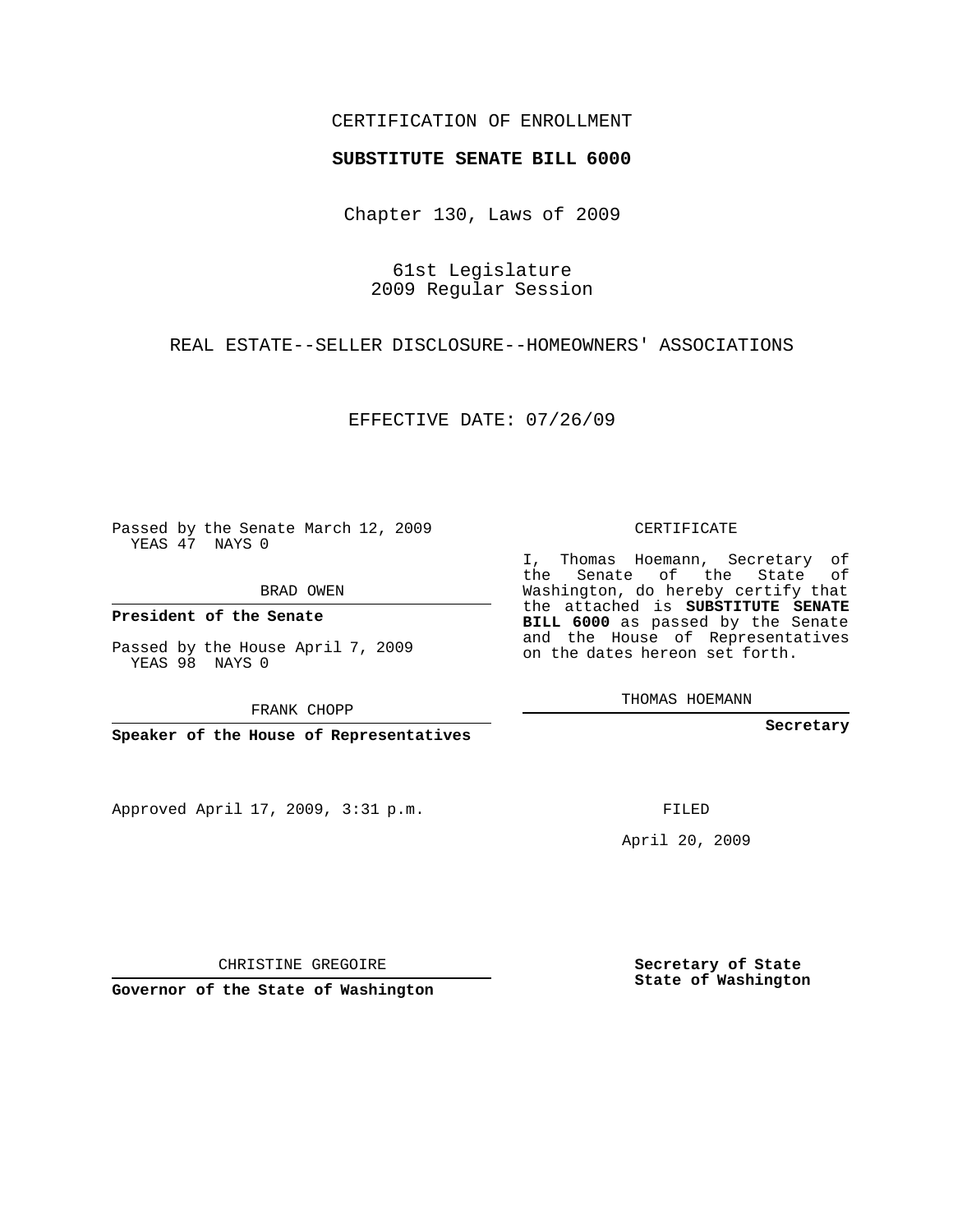## CERTIFICATION OF ENROLLMENT

### **SUBSTITUTE SENATE BILL 6000**

Chapter 130, Laws of 2009

61st Legislature 2009 Regular Session

REAL ESTATE--SELLER DISCLOSURE--HOMEOWNERS' ASSOCIATIONS

EFFECTIVE DATE: 07/26/09

Passed by the Senate March 12, 2009 YEAS 47 NAYS 0

BRAD OWEN

**President of the Senate**

Passed by the House April 7, 2009 YEAS 98 NAYS 0

FRANK CHOPP

**Speaker of the House of Representatives**

Approved April 17, 2009, 3:31 p.m.

CERTIFICATE

I, Thomas Hoemann, Secretary of the Senate of the State of Washington, do hereby certify that the attached is **SUBSTITUTE SENATE BILL 6000** as passed by the Senate and the House of Representatives on the dates hereon set forth.

THOMAS HOEMANN

**Secretary**

FILED

April 20, 2009

CHRISTINE GREGOIRE

**Governor of the State of Washington**

**Secretary of State State of Washington**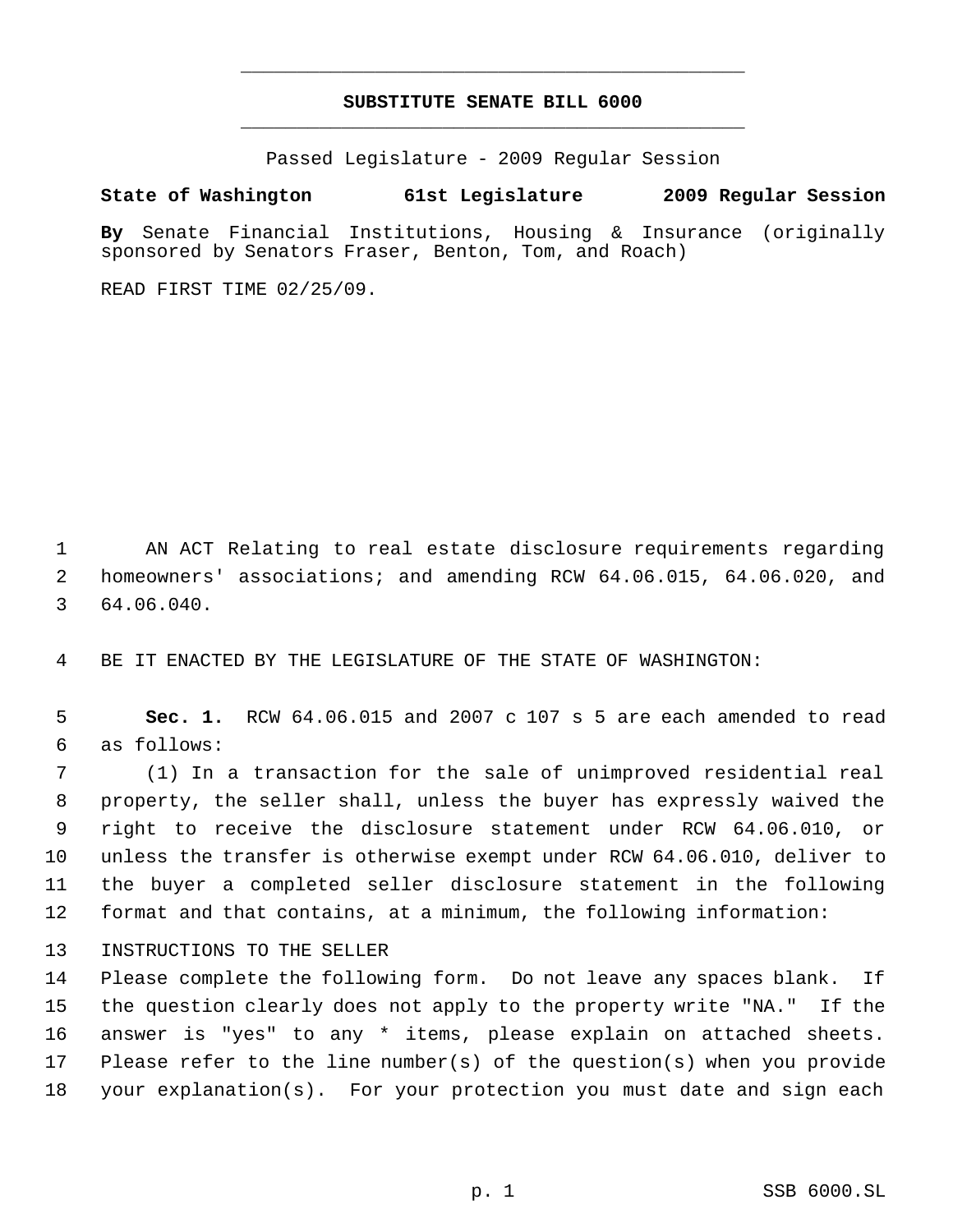# **SUBSTITUTE SENATE BILL 6000** \_\_\_\_\_\_\_\_\_\_\_\_\_\_\_\_\_\_\_\_\_\_\_\_\_\_\_\_\_\_\_\_\_\_\_\_\_\_\_\_\_\_\_\_\_

\_\_\_\_\_\_\_\_\_\_\_\_\_\_\_\_\_\_\_\_\_\_\_\_\_\_\_\_\_\_\_\_\_\_\_\_\_\_\_\_\_\_\_\_\_

Passed Legislature - 2009 Regular Session

**State of Washington 61st Legislature 2009 Regular Session**

**By** Senate Financial Institutions, Housing & Insurance (originally sponsored by Senators Fraser, Benton, Tom, and Roach)

READ FIRST TIME 02/25/09.

 AN ACT Relating to real estate disclosure requirements regarding homeowners' associations; and amending RCW 64.06.015, 64.06.020, and 64.06.040.

BE IT ENACTED BY THE LEGISLATURE OF THE STATE OF WASHINGTON:

 **Sec. 1.** RCW 64.06.015 and 2007 c 107 s 5 are each amended to read as follows:

 (1) In a transaction for the sale of unimproved residential real property, the seller shall, unless the buyer has expressly waived the right to receive the disclosure statement under RCW 64.06.010, or unless the transfer is otherwise exempt under RCW 64.06.010, deliver to the buyer a completed seller disclosure statement in the following format and that contains, at a minimum, the following information:

INSTRUCTIONS TO THE SELLER

 Please complete the following form. Do not leave any spaces blank. If the question clearly does not apply to the property write "NA." If the answer is "yes" to any \* items, please explain on attached sheets. Please refer to the line number(s) of the question(s) when you provide your explanation(s). For your protection you must date and sign each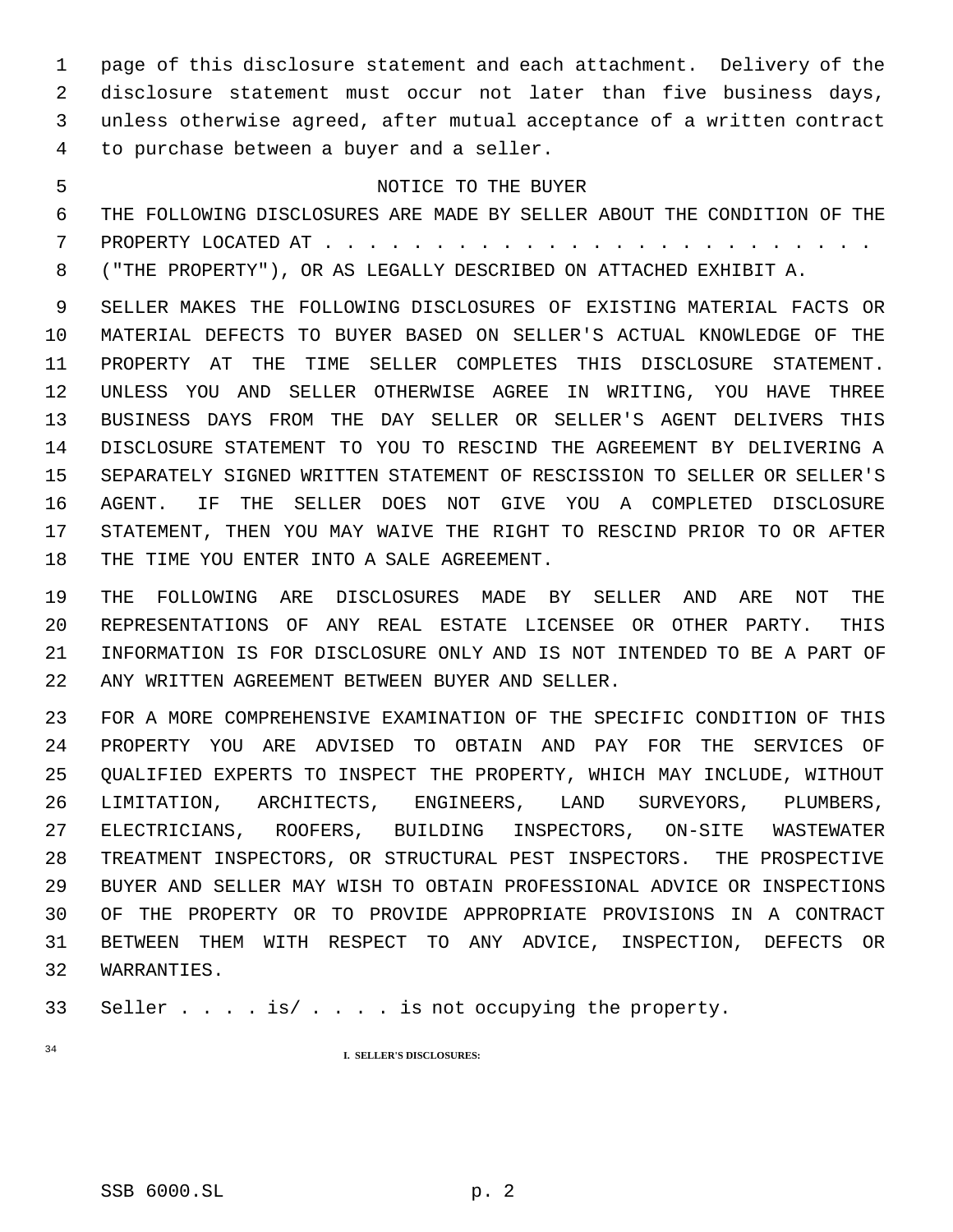page of this disclosure statement and each attachment. Delivery of the disclosure statement must occur not later than five business days, unless otherwise agreed, after mutual acceptance of a written contract to purchase between a buyer and a seller.

## NOTICE TO THE BUYER

 THE FOLLOWING DISCLOSURES ARE MADE BY SELLER ABOUT THE CONDITION OF THE PROPERTY LOCATED AT . . . . . . . . . . . . . . . . . . . . . . . . .

("THE PROPERTY"), OR AS LEGALLY DESCRIBED ON ATTACHED EXHIBIT A.

 SELLER MAKES THE FOLLOWING DISCLOSURES OF EXISTING MATERIAL FACTS OR MATERIAL DEFECTS TO BUYER BASED ON SELLER'S ACTUAL KNOWLEDGE OF THE PROPERTY AT THE TIME SELLER COMPLETES THIS DISCLOSURE STATEMENT. UNLESS YOU AND SELLER OTHERWISE AGREE IN WRITING, YOU HAVE THREE BUSINESS DAYS FROM THE DAY SELLER OR SELLER'S AGENT DELIVERS THIS DISCLOSURE STATEMENT TO YOU TO RESCIND THE AGREEMENT BY DELIVERING A SEPARATELY SIGNED WRITTEN STATEMENT OF RESCISSION TO SELLER OR SELLER'S AGENT. IF THE SELLER DOES NOT GIVE YOU A COMPLETED DISCLOSURE STATEMENT, THEN YOU MAY WAIVE THE RIGHT TO RESCIND PRIOR TO OR AFTER THE TIME YOU ENTER INTO A SALE AGREEMENT.

 THE FOLLOWING ARE DISCLOSURES MADE BY SELLER AND ARE NOT THE REPRESENTATIONS OF ANY REAL ESTATE LICENSEE OR OTHER PARTY. THIS INFORMATION IS FOR DISCLOSURE ONLY AND IS NOT INTENDED TO BE A PART OF ANY WRITTEN AGREEMENT BETWEEN BUYER AND SELLER.

 FOR A MORE COMPREHENSIVE EXAMINATION OF THE SPECIFIC CONDITION OF THIS PROPERTY YOU ARE ADVISED TO OBTAIN AND PAY FOR THE SERVICES OF QUALIFIED EXPERTS TO INSPECT THE PROPERTY, WHICH MAY INCLUDE, WITHOUT LIMITATION, ARCHITECTS, ENGINEERS, LAND SURVEYORS, PLUMBERS, ELECTRICIANS, ROOFERS, BUILDING INSPECTORS, ON-SITE WASTEWATER TREATMENT INSPECTORS, OR STRUCTURAL PEST INSPECTORS. THE PROSPECTIVE BUYER AND SELLER MAY WISH TO OBTAIN PROFESSIONAL ADVICE OR INSPECTIONS OF THE PROPERTY OR TO PROVIDE APPROPRIATE PROVISIONS IN A CONTRACT BETWEEN THEM WITH RESPECT TO ANY ADVICE, INSPECTION, DEFECTS OR WARRANTIES.

Seller . . . . is/ . . . . is not occupying the property.

**I. SELLER'S DISCLOSURES:**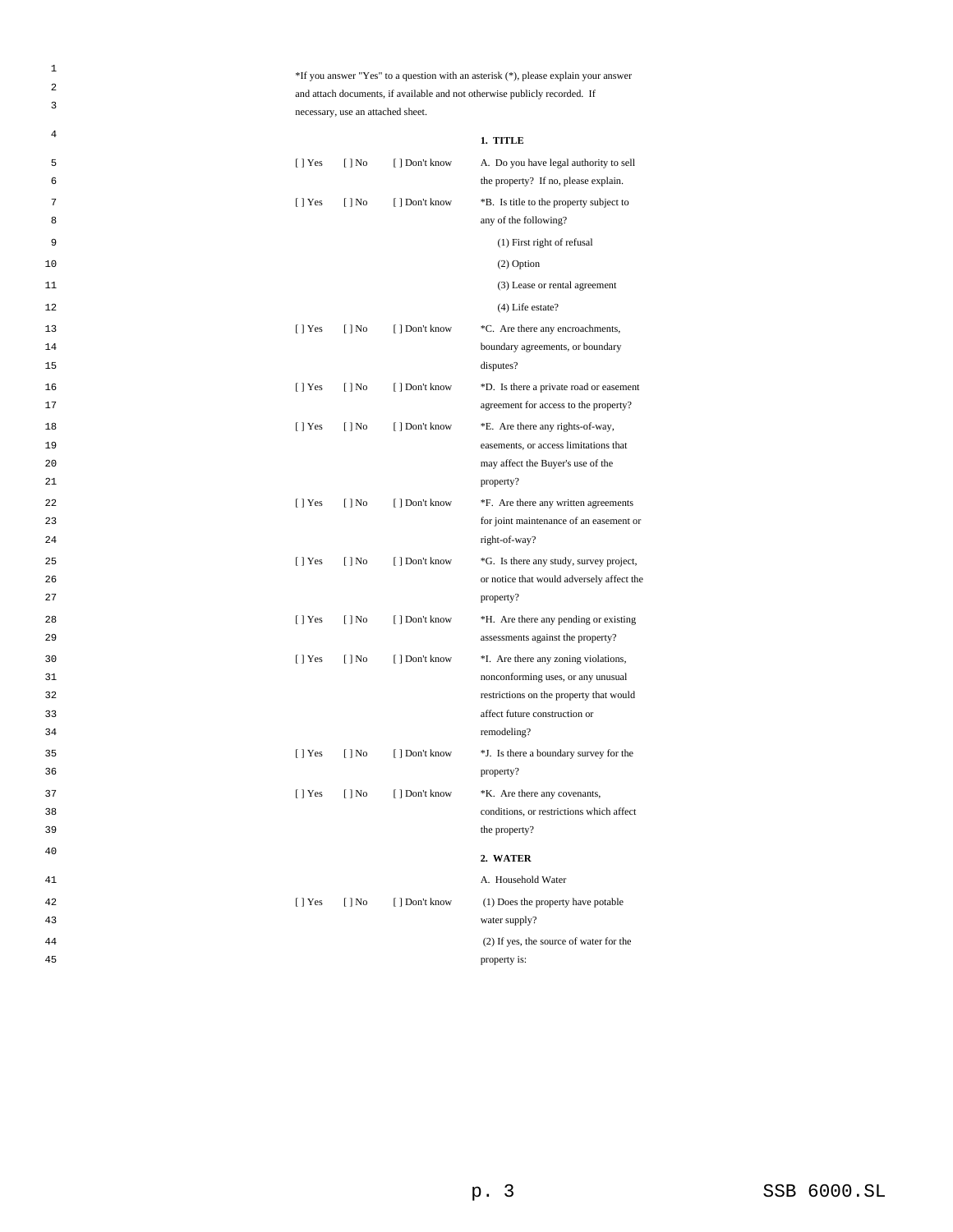| 1        |                |                                                                                     |                                   |                                                                                |  |  |  |  |  |
|----------|----------------|-------------------------------------------------------------------------------------|-----------------------------------|--------------------------------------------------------------------------------|--|--|--|--|--|
| 2        |                | *If you answer "Yes" to a question with an asterisk (*), please explain your answer |                                   |                                                                                |  |  |  |  |  |
| 3        |                |                                                                                     |                                   | and attach documents, if available and not otherwise publicly recorded. If     |  |  |  |  |  |
|          |                |                                                                                     | necessary, use an attached sheet. |                                                                                |  |  |  |  |  |
| 4        |                |                                                                                     |                                   | 1. TITLE                                                                       |  |  |  |  |  |
| 5<br>6   | $[ ]$ Yes      | $[ ]$ No                                                                            | [ ] Don't know                    | A. Do you have legal authority to sell<br>the property? If no, please explain. |  |  |  |  |  |
| 7<br>8   | $[$   Yes      | $[ ]$ No                                                                            | [ ] Don't know                    | *B. Is title to the property subject to<br>any of the following?               |  |  |  |  |  |
| 9        |                |                                                                                     |                                   | (1) First right of refusal                                                     |  |  |  |  |  |
| 10       |                |                                                                                     |                                   | $(2)$ Option                                                                   |  |  |  |  |  |
| 11       |                |                                                                                     |                                   | (3) Lease or rental agreement                                                  |  |  |  |  |  |
| 12       |                |                                                                                     |                                   | $(4)$ Life estate?                                                             |  |  |  |  |  |
| 13       | $[ ]$ Yes      | $[ ]$ No                                                                            | [ ] Don't know                    | *C. Are there any encroachments,                                               |  |  |  |  |  |
| 14<br>15 |                |                                                                                     |                                   | boundary agreements, or boundary<br>disputes?                                  |  |  |  |  |  |
| 16       | $[ ]$ Yes      | $[ ]$ No                                                                            | [ ] Don't know                    | *D. Is there a private road or easement                                        |  |  |  |  |  |
| 17       |                |                                                                                     |                                   | agreement for access to the property?                                          |  |  |  |  |  |
| 18       | $\lceil$   Yes | $[ ]$ No                                                                            | [ ] Don't know                    | *E. Are there any rights-of-way,                                               |  |  |  |  |  |
| 19       |                |                                                                                     |                                   | easements, or access limitations that                                          |  |  |  |  |  |
| 20       |                |                                                                                     |                                   | may affect the Buyer's use of the                                              |  |  |  |  |  |
| 21       |                |                                                                                     |                                   | property?                                                                      |  |  |  |  |  |
| 22       | $[ ]$ Yes      | $[ ]$ No                                                                            | [ ] Don't know                    | *F. Are there any written agreements                                           |  |  |  |  |  |
| 23       |                |                                                                                     |                                   | for joint maintenance of an easement or                                        |  |  |  |  |  |
| 24       |                |                                                                                     |                                   | right-of-way?                                                                  |  |  |  |  |  |
| 25       | $[ ]$ Yes      | $[ ]$ No                                                                            | [ ] Don't know                    | *G. Is there any study, survey project,                                        |  |  |  |  |  |
| 26       |                |                                                                                     |                                   | or notice that would adversely affect the                                      |  |  |  |  |  |
| 27       |                |                                                                                     |                                   | property?                                                                      |  |  |  |  |  |
| 28       | $[ ]$ Yes      | $[ ]$ No                                                                            | [ ] Don't know                    | *H. Are there any pending or existing                                          |  |  |  |  |  |
| 29       |                |                                                                                     |                                   | assessments against the property?                                              |  |  |  |  |  |
| 30       | $[ ]$ Yes      | $[ ]$ No                                                                            | [ ] Don't know                    | *I. Are there any zoning violations,                                           |  |  |  |  |  |
| 31       |                |                                                                                     |                                   | nonconforming uses, or any unusual                                             |  |  |  |  |  |
| 32       |                |                                                                                     |                                   | restrictions on the property that would<br>affect future construction or       |  |  |  |  |  |
| 33<br>34 |                |                                                                                     |                                   | remodeling?                                                                    |  |  |  |  |  |
| 35       | [ ] Yes        | $[ ]$ No                                                                            | [ ] Don't know                    | *J. Is there a boundary survey for the                                         |  |  |  |  |  |
| 36       |                |                                                                                     |                                   | property?                                                                      |  |  |  |  |  |
| 37       | $[ ]$ Yes      | $[ ]$ No                                                                            | [ ] Don't know                    | *K. Are there any covenants,                                                   |  |  |  |  |  |
| 38       |                |                                                                                     |                                   | conditions, or restrictions which affect                                       |  |  |  |  |  |
| 39       |                |                                                                                     |                                   | the property?                                                                  |  |  |  |  |  |
| 40       |                |                                                                                     |                                   |                                                                                |  |  |  |  |  |
|          |                |                                                                                     |                                   | 2. WATER                                                                       |  |  |  |  |  |
| 41       |                |                                                                                     |                                   | A. Household Water                                                             |  |  |  |  |  |
| 42       | $[ ]$ Yes      | $[ ]$ No                                                                            | [ ] Don't know                    | (1) Does the property have potable                                             |  |  |  |  |  |
| 43       |                |                                                                                     |                                   | water supply?                                                                  |  |  |  |  |  |
| 44       |                |                                                                                     |                                   | (2) If yes, the source of water for the                                        |  |  |  |  |  |
| 45       |                |                                                                                     |                                   | property is:                                                                   |  |  |  |  |  |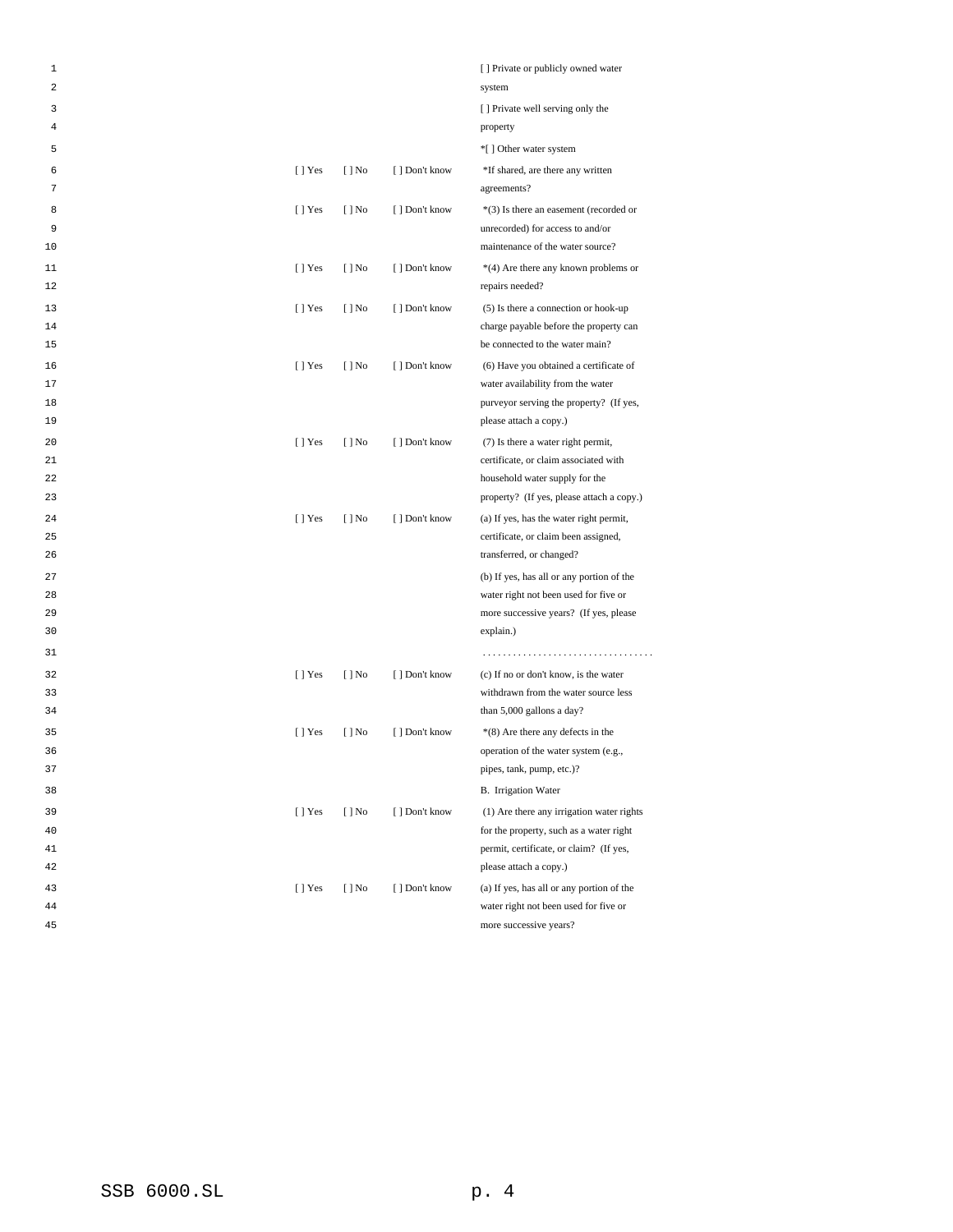| 1<br>2         |           |                          |                | [] Private or publicly owned water<br>system                                                                           |
|----------------|-----------|--------------------------|----------------|------------------------------------------------------------------------------------------------------------------------|
| 3<br>4         |           |                          |                | [] Private well serving only the<br>property                                                                           |
| 5              |           |                          |                | *[ ] Other water system                                                                                                |
| 6<br>7         | $[ ]$ Yes | $[$   No                 | [ ] Don't know | *If shared, are there any written<br>agreements?                                                                       |
| 8<br>9<br>10   | $[ ]$ Yes | $\lceil \cdot \rceil$ No | [ ] Don't know | *(3) Is there an easement (recorded or<br>unrecorded) for access to and/or<br>maintenance of the water source?         |
| 11<br>12       | $[ ]$ Yes | $[ ]$ No                 | [ ] Don't know | *(4) Are there any known problems or<br>repairs needed?                                                                |
| 13<br>14<br>15 | $[ ]$ Yes | $[ ]$ No                 | [ ] Don't know | (5) Is there a connection or hook-up<br>charge payable before the property can<br>be connected to the water main?      |
| 16<br>17<br>18 | $[ ]$ Yes | $[ ]$ No                 | [ ] Don't know | (6) Have you obtained a certificate of<br>water availability from the water<br>purveyor serving the property? (If yes, |
| 19             |           |                          |                | please attach a copy.)                                                                                                 |
| 20<br>21<br>22 | $[ ]$ Yes | $[ ]$ No                 | [ ] Don't know | (7) Is there a water right permit,<br>certificate, or claim associated with<br>household water supply for the          |
| 23             |           |                          |                | property? (If yes, please attach a copy.)                                                                              |
| 24<br>25<br>26 | $[ ]$ Yes | $[ ]$ No                 | [ ] Don't know | (a) If yes, has the water right permit,<br>certificate, or claim been assigned,<br>transferred, or changed?            |
| 27             |           |                          |                | (b) If yes, has all or any portion of the                                                                              |
| 28             |           |                          |                | water right not been used for five or                                                                                  |
| 29             |           |                          |                | more successive years? (If yes, please                                                                                 |
| 30             |           |                          |                | explain.)                                                                                                              |
| 31             |           |                          |                |                                                                                                                        |
| 32<br>33<br>34 | $[$   Yes | $\lceil \cdot \rceil$ No | [ ] Don't know | (c) If no or don't know, is the water<br>withdrawn from the water source less<br>than 5,000 gallons a day?             |
| 35             | $[$   Yes | $\lceil \cdot \rceil$ No | [ ] Don't know | *(8) Are there any defects in the                                                                                      |
| 36             |           |                          |                | operation of the water system (e.g.,                                                                                   |
| 37             |           |                          |                | pipes, tank, pump, etc.)?                                                                                              |
| 38             |           |                          |                | <b>B.</b> Irrigation Water                                                                                             |
| 39             | $[ ]$ Yes | $\lceil \cdot \rceil$ No | [] Don't know  | (1) Are there any irrigation water rights                                                                              |
| 40             |           |                          |                | for the property, such as a water right                                                                                |
| 41             |           |                          |                | permit, certificate, or claim? (If yes,                                                                                |
| 42             |           |                          |                | please attach a copy.)                                                                                                 |
| 43<br>44       | $[ ]$ Yes | $[ ]$ No                 | [ ] Don't know | (a) If yes, has all or any portion of the<br>water right not been used for five or                                     |
| 45             |           |                          |                | more successive years?                                                                                                 |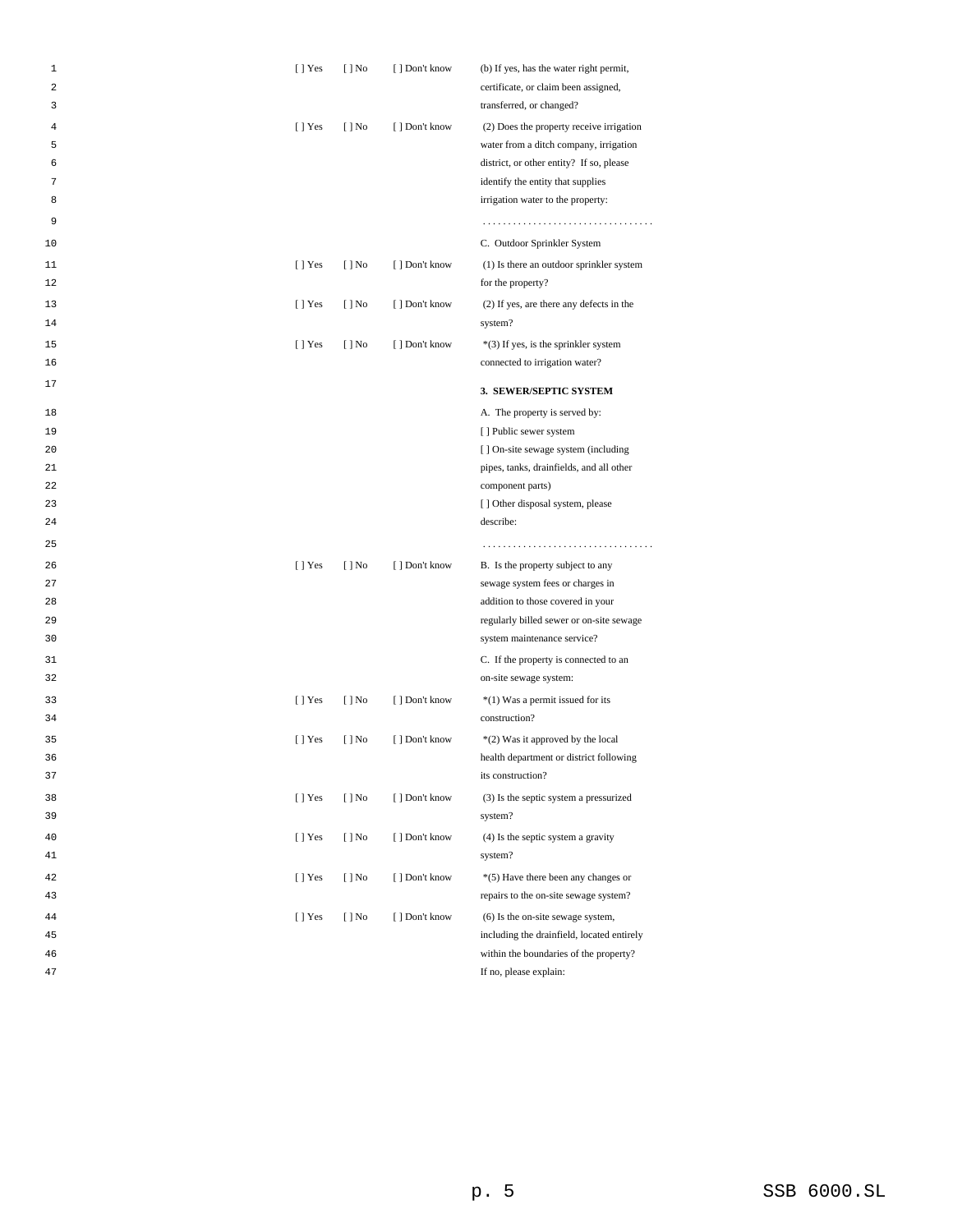| 1<br>2<br>3                | [] Yes    | $[ ]$ No                 | [ ] Don't know | (b) If yes, has the water right permit,<br>certificate, or claim been assigned,<br>transferred, or changed?                                                                                              |
|----------------------------|-----------|--------------------------|----------------|----------------------------------------------------------------------------------------------------------------------------------------------------------------------------------------------------------|
| 4<br>5<br>6<br>7<br>8<br>9 | $[ ]$ Yes | $[ ]$ No                 | [ ] Don't know | (2) Does the property receive irrigation<br>water from a ditch company, irrigation<br>district, or other entity? If so, please<br>identify the entity that supplies<br>irrigation water to the property: |
| 10                         |           |                          |                | C. Outdoor Sprinkler System                                                                                                                                                                              |
| 11<br>12                   | $[$   Yes | $[ ]$ No                 | [ ] Don't know | (1) Is there an outdoor sprinkler system<br>for the property?                                                                                                                                            |
| 13<br>14                   | $[ ]$ Yes | $[ ]$ No                 | [ ] Don't know | (2) If yes, are there any defects in the<br>system?                                                                                                                                                      |
| 15<br>16                   | [] Yes    | $[ ]$ No                 | [ ] Don't know | *(3) If yes, is the sprinkler system<br>connected to irrigation water?                                                                                                                                   |
| 17                         |           |                          |                | 3. SEWER/SEPTIC SYSTEM                                                                                                                                                                                   |
| 18                         |           |                          |                | A. The property is served by:                                                                                                                                                                            |
| 19                         |           |                          |                | [] Public sewer system                                                                                                                                                                                   |
| 20                         |           |                          |                | [] On-site sewage system (including                                                                                                                                                                      |
| 21                         |           |                          |                | pipes, tanks, drainfields, and all other                                                                                                                                                                 |
| 22                         |           |                          |                | component parts)                                                                                                                                                                                         |
| 23                         |           |                          |                | [] Other disposal system, please                                                                                                                                                                         |
| 24                         |           |                          |                | describe:                                                                                                                                                                                                |
| 25                         |           |                          |                |                                                                                                                                                                                                          |
| 26                         | $[ ]$ Yes | $\lceil \cdot \rceil$ No | [ ] Don't know | B. Is the property subject to any                                                                                                                                                                        |
| 27                         |           |                          |                | sewage system fees or charges in                                                                                                                                                                         |
| 28                         |           |                          |                | addition to those covered in your                                                                                                                                                                        |
| 29                         |           |                          |                | regularly billed sewer or on-site sewage                                                                                                                                                                 |
| 30                         |           |                          |                | system maintenance service?                                                                                                                                                                              |
| 31<br>32                   |           |                          |                | C. If the property is connected to an<br>on-site sewage system:                                                                                                                                          |
| 33                         | [] Yes    | $[ ]$ No                 | [ ] Don't know | *(1) Was a permit issued for its                                                                                                                                                                         |
| 34                         |           |                          |                | construction?                                                                                                                                                                                            |
| 35                         | $[ ]$ Yes | $[$   No                 | [ ] Don't know | *(2) Was it approved by the local                                                                                                                                                                        |
| 36                         |           |                          |                | health department or district following                                                                                                                                                                  |
| 37                         |           |                          |                | its construction?                                                                                                                                                                                        |
| 38<br>39                   | $[$   Yes | $[ ]$ No                 | [ ] Don't know | (3) Is the septic system a pressurized<br>system?                                                                                                                                                        |
| 40<br>41                   | $[ ]$ Yes | $[ ]$ No                 | [ ] Don't know | (4) Is the septic system a gravity<br>system?                                                                                                                                                            |
| 42                         | [] Yes    | $[ ]$ No                 | [] Don't know  | *(5) Have there been any changes or                                                                                                                                                                      |
| 43                         |           |                          |                | repairs to the on-site sewage system?                                                                                                                                                                    |
| 44                         | [] Yes    | $[$   No                 | [ ] Don't know | (6) Is the on-site sewage system,                                                                                                                                                                        |
| 45                         |           |                          |                | including the drainfield, located entirely                                                                                                                                                               |
| 46                         |           |                          |                | within the boundaries of the property?                                                                                                                                                                   |
| 47                         |           |                          |                | If no, please explain:                                                                                                                                                                                   |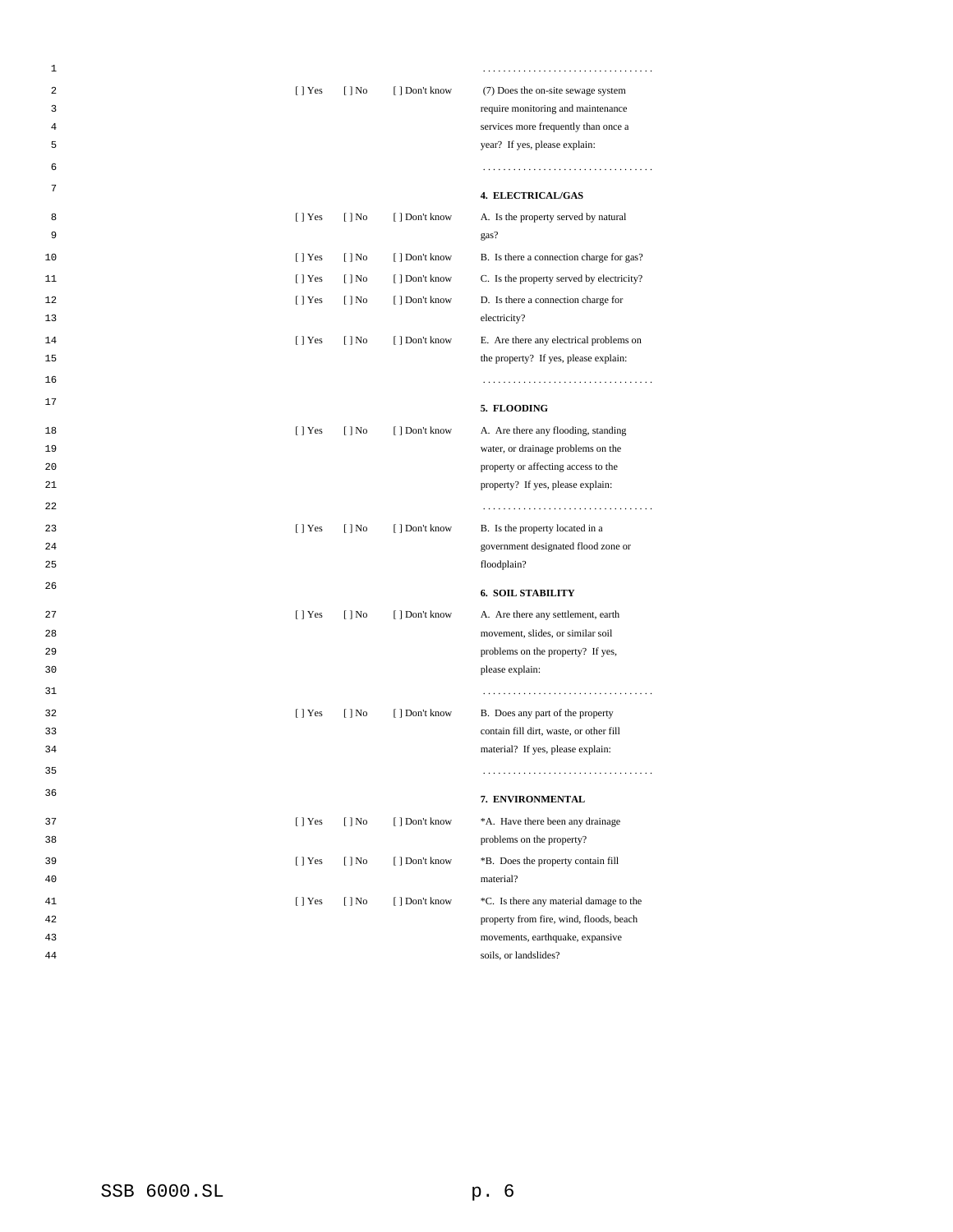| 1        |                |          |                |                                           |
|----------|----------------|----------|----------------|-------------------------------------------|
| 2        | $[ ]$ Yes      | $[ ]$ No | [ ] Don't know | (7) Does the on-site sewage system        |
| 3        |                |          |                | require monitoring and maintenance        |
| 4        |                |          |                | services more frequently than once a      |
| 5        |                |          |                | year? If yes, please explain:             |
| 6        |                |          |                |                                           |
| 7        |                |          |                | 4. ELECTRICAL/GAS                         |
| 8        | $[ ]$ Yes      | $[ ]$ No | [ ] Don't know | A. Is the property served by natural      |
| 9        |                |          |                | gas?                                      |
| 10       | $[ ]$ Yes      | $[ ]$ No | [ ] Don't know | B. Is there a connection charge for gas?  |
| 11       | $[ ]$ Yes      | $[ ]$ No | [ ] Don't know | C. Is the property served by electricity? |
| 12       | $[ ]$ Yes      | $[ ]$ No | [ ] Don't know | D. Is there a connection charge for       |
| 13       |                |          |                | electricity?                              |
| 14       | $[ ]$ Yes      | $[ ]$ No | [ ] Don't know | E. Are there any electrical problems on   |
| 15       |                |          |                | the property? If yes, please explain:     |
| 16       |                |          |                |                                           |
| 17       |                |          |                | 5. FLOODING                               |
| 18       | $[ ]$ Yes      | $[ ]$ No | [ ] Don't know | A. Are there any flooding, standing       |
| 19       |                |          |                | water, or drainage problems on the        |
| 20       |                |          |                | property or affecting access to the       |
| 21       |                |          |                | property? If yes, please explain:         |
| 22       |                |          |                |                                           |
| 23       | $[ ]$ Yes      | $[ ]$ No | [ ] Don't know | B. Is the property located in a           |
| 24       |                |          |                | government designated flood zone or       |
| 25       |                |          |                | floodplain?                               |
| 26       |                |          |                | <b>6. SOIL STABILITY</b>                  |
| 27       |                |          | [ ] Don't know | A. Are there any settlement, earth        |
|          | $[ ]$ Yes      | $[ ]$ No |                |                                           |
| 28       |                |          |                | movement, slides, or similar soil         |
| 29<br>30 |                |          |                | problems on the property? If yes,         |
|          |                |          |                | please explain:                           |
| 31       |                |          |                |                                           |
| 32       | $[ ]$ Yes      | $[ ]$ No | [ ] Don't know | B. Does any part of the property          |
| 33       |                |          |                | contain fill dirt, waste, or other fill   |
| 34       |                |          |                | material? If yes, please explain:         |
| 35       |                |          |                |                                           |
| 36       |                |          |                | 7. ENVIRONMENTAL                          |
| 37       | $[ ]$ Yes      | $[ ]$ No | [ ] Don't know | *A. Have there been any drainage          |
| 38       |                |          |                | problems on the property?                 |
| 39       | $[ ]$ Yes      | $[ ]$ No | [ ] Don't know | *B. Does the property contain fill        |
| 40       |                |          |                | material?                                 |
| 41       | $\lceil$   Yes | $[ ]$ No | [ ] Don't know | *C. Is there any material damage to the   |
| 42       |                |          |                | property from fire, wind, floods, beach   |
| 43       |                |          |                | movements, earthquake, expansive          |
| 44       |                |          |                | soils, or landslides?                     |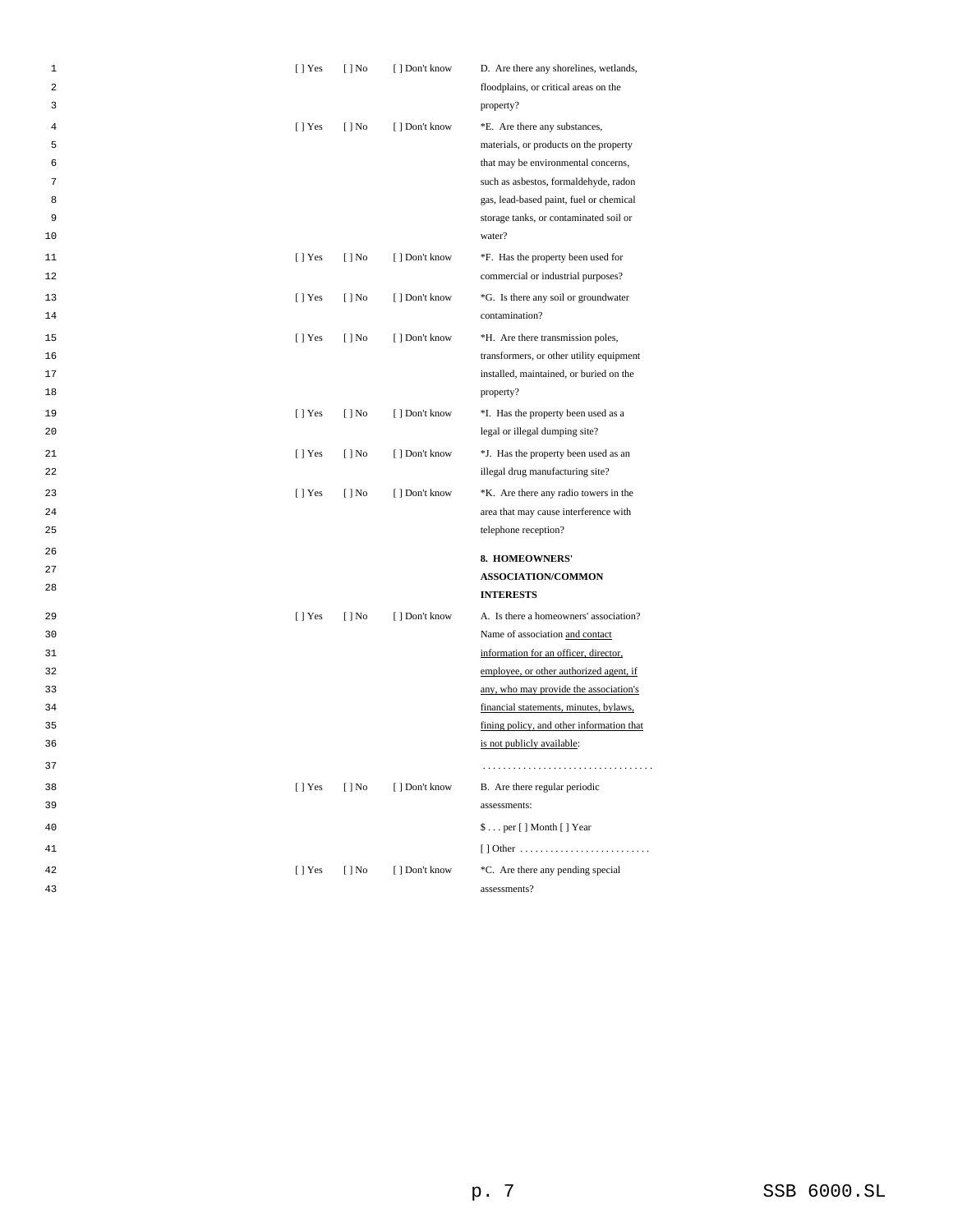| 1<br>2<br>3                                  | [] Yes    | $[ ]$ No                 | [ ] Don't know | D. Are there any shorelines, wetlands,<br>floodplains, or critical areas on the<br>property?                                                                                                                                                                                                                                 |
|----------------------------------------------|-----------|--------------------------|----------------|------------------------------------------------------------------------------------------------------------------------------------------------------------------------------------------------------------------------------------------------------------------------------------------------------------------------------|
| 4<br>5<br>6<br>7<br>8<br>9<br>10             | $[ ]$ Yes | $[$   No                 | [ ] Don't know | *E. Are there any substances,<br>materials, or products on the property<br>that may be environmental concerns,<br>such as asbestos, formaldehyde, radon<br>gas, lead-based paint, fuel or chemical<br>storage tanks, or contaminated soil or<br>water?                                                                       |
| 11<br>12                                     | $[$   Yes | $[ ]$ No                 | [ ] Don't know | *F. Has the property been used for<br>commercial or industrial purposes?                                                                                                                                                                                                                                                     |
| 13<br>14                                     | $[ ]$ Yes | $[ ]$ No                 | [ ] Don't know | *G. Is there any soil or groundwater<br>contamination?                                                                                                                                                                                                                                                                       |
| 15<br>16<br>17<br>18                         | $[ ]$ Yes | $[ ]$ No                 | [ ] Don't know | *H. Are there transmission poles,<br>transformers, or other utility equipment<br>installed, maintained, or buried on the<br>property?                                                                                                                                                                                        |
| 19<br>20                                     | [ ] Yes   | [1] No                   | [] Don't know  | *I. Has the property been used as a<br>legal or illegal dumping site?                                                                                                                                                                                                                                                        |
| 21<br>22                                     | $[$   Yes | $[ ]$ No                 | [ ] Don't know | *J. Has the property been used as an<br>illegal drug manufacturing site?                                                                                                                                                                                                                                                     |
| 23<br>24<br>25                               | $[ ]$ Yes | $[ ]$ No                 | [ ] Don't know | *K. Are there any radio towers in the<br>area that may cause interference with<br>telephone reception?                                                                                                                                                                                                                       |
| 26<br>27<br>28                               |           |                          |                | 8. HOMEOWNERS'<br>ASSOCIATION/COMMON<br><b>INTERESTS</b>                                                                                                                                                                                                                                                                     |
| 29<br>30<br>31<br>32<br>33<br>34<br>35<br>36 | $[$   Yes | $\lceil \cdot \rceil$ No | [] Don't know  | A. Is there a homeowners' association?<br>Name of association and contact<br>information for an officer, director,<br>employee, or other authorized agent, if<br>any, who may provide the association's<br>financial statements, minutes, bylaws,<br>fining policy, and other information that<br>is not publicly available: |
| 37<br>38<br>39                               | $[$   Yes | $[ ]$ No                 | [ ] Don't know | B. Are there regular periodic<br>assessments:                                                                                                                                                                                                                                                                                |
| 40                                           |           |                          |                | \$per [] Month [] Year<br>$\lceil$ Other                                                                                                                                                                                                                                                                                     |
| 41<br>42<br>43                               | $[ ]$ Yes | $[ ]$ No                 | [] Don't know  | *C. Are there any pending special<br>assessments?                                                                                                                                                                                                                                                                            |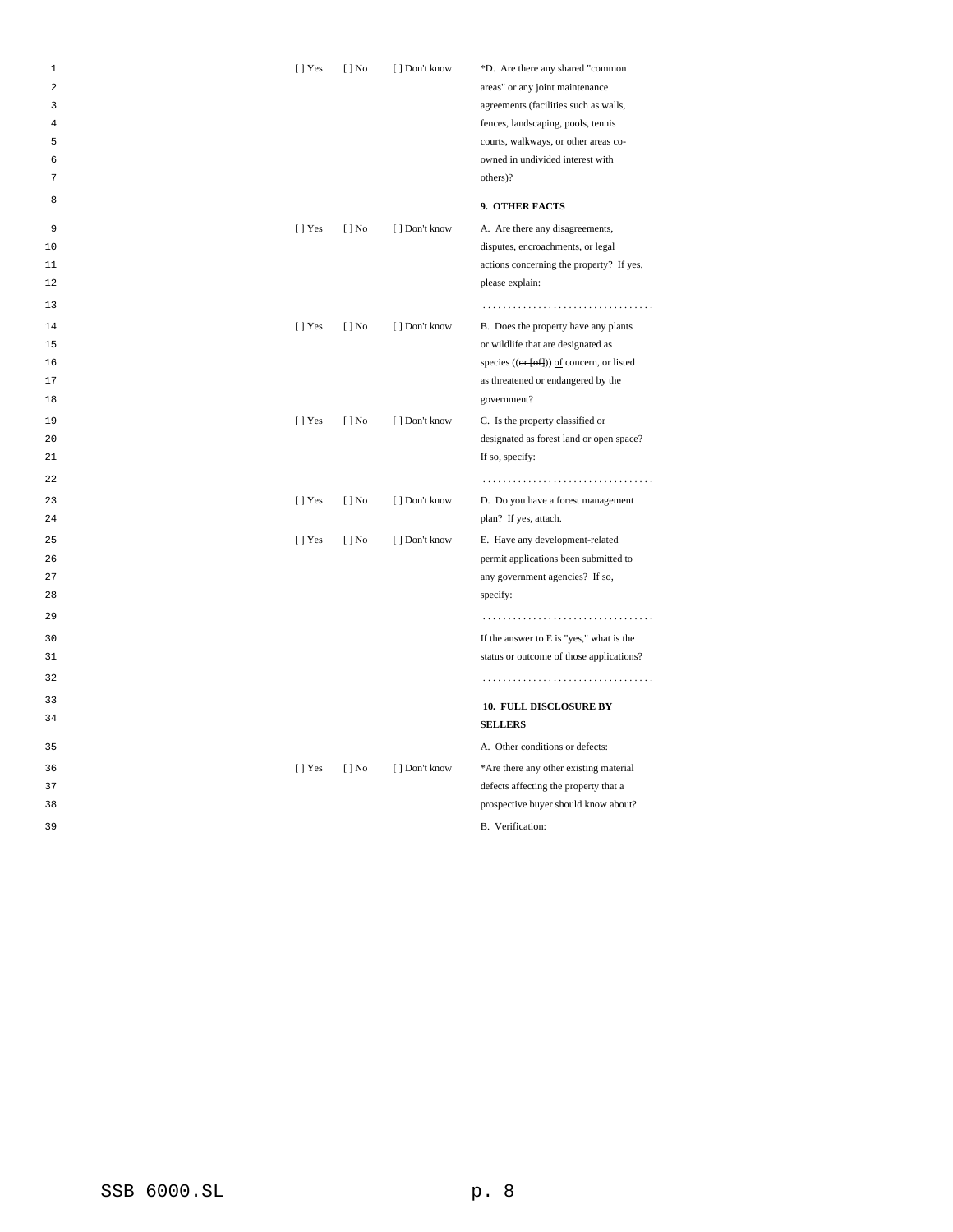| $\mathbf{1}$<br>$\overline{\mathbf{c}}$<br>3<br>4<br>5<br>6<br>7<br>8 | [] Yes         | $[ ]$ No                 | [ ] Don't know | *D. Are there any shared "common<br>areas" or any joint maintenance<br>agreements (facilities such as walls,<br>fences, landscaping, pools, tennis<br>courts, walkways, or other areas co-<br>owned in undivided interest with<br>others)? |
|-----------------------------------------------------------------------|----------------|--------------------------|----------------|--------------------------------------------------------------------------------------------------------------------------------------------------------------------------------------------------------------------------------------------|
| 9<br>10<br>11<br>12<br>13                                             | $[$   Yes      | $[$   No                 | [] Don't know  | 9. OTHER FACTS<br>A. Are there any disagreements,<br>disputes, encroachments, or legal<br>actions concerning the property? If yes,<br>please explain:                                                                                      |
| 14<br>15<br>16<br>17<br>18                                            | $\lceil$   Yes | $\lceil \cdot \rceil$ No | [ ] Don't know | B. Does the property have any plants<br>or wildlife that are designated as<br>species ((or [of])) of concern, or listed<br>as threatened or endangered by the<br>government?                                                               |
| 19<br>20<br>21<br>22                                                  | [] Yes         | $[$   No                 | [ ] Don't know | C. Is the property classified or<br>designated as forest land or open space?<br>If so, specify:                                                                                                                                            |
| 23<br>24                                                              | [] Yes         | $[ ]$ No                 | [ ] Don't know | D. Do you have a forest management<br>plan? If yes, attach.                                                                                                                                                                                |
| 25<br>26<br>27<br>28                                                  | [] Yes         | $[ ]$ No                 | [ ] Don't know | E. Have any development-related<br>permit applications been submitted to<br>any government agencies? If so,<br>specify:                                                                                                                    |
| 29                                                                    |                |                          |                |                                                                                                                                                                                                                                            |
| 30<br>31                                                              |                |                          |                | If the answer to E is "yes," what is the<br>status or outcome of those applications?                                                                                                                                                       |
| 32                                                                    |                |                          |                |                                                                                                                                                                                                                                            |
| 33<br>34<br>35                                                        |                |                          |                | 10. FULL DISCLOSURE BY<br><b>SELLERS</b><br>A. Other conditions or defects:                                                                                                                                                                |
| 36                                                                    | [] Yes         | $[ ]$ No                 | [ ] Don't know | *Are there any other existing material                                                                                                                                                                                                     |
| 37                                                                    |                |                          |                | defects affecting the property that a                                                                                                                                                                                                      |
| 38                                                                    |                |                          |                | prospective buyer should know about?                                                                                                                                                                                                       |
| 39                                                                    |                |                          |                | B. Verification:                                                                                                                                                                                                                           |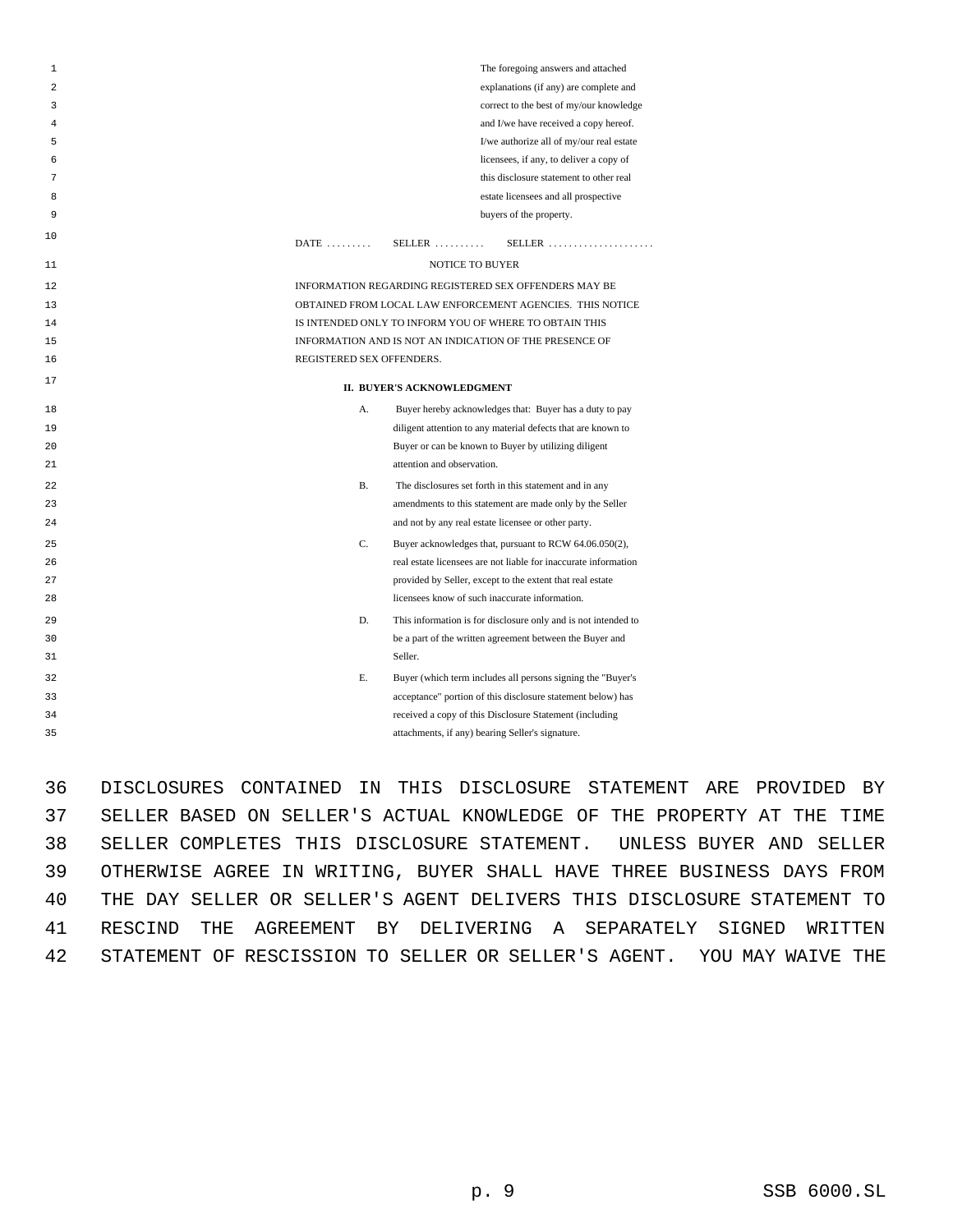| $1\,$          | The foregoing answers and attached                                   |
|----------------|----------------------------------------------------------------------|
| $\overline{a}$ | explanations (if any) are complete and                               |
| 3              | correct to the best of my/our knowledge                              |
| 4              | and I/we have received a copy hereof.                                |
| 5              | I/we authorize all of my/our real estate                             |
| 6              | licensees, if any, to deliver a copy of                              |
| 7              | this disclosure statement to other real                              |
| 8              | estate licensees and all prospective                                 |
| 9              | buyers of the property.                                              |
| 10             | $\text{DATE}$<br>$SELLER$<br>SELLER                                  |
| 11             | <b>NOTICE TO BUYER</b>                                               |
| 12             | <b>INFORMATION REGARDING REGISTERED SEX OFFENDERS MAY BE</b>         |
| 13             | OBTAINED FROM LOCAL LAW ENFORCEMENT AGENCIES. THIS NOTICE            |
| 14             | IS INTENDED ONLY TO INFORM YOU OF WHERE TO OBTAIN THIS               |
| 15             | INFORMATION AND IS NOT AN INDICATION OF THE PRESENCE OF              |
| 16             | REGISTERED SEX OFFENDERS.                                            |
| 17             | <b>II. BUYER'S ACKNOWLEDGMENT</b>                                    |
| 18             | A.<br>Buyer hereby acknowledges that: Buyer has a duty to pay        |
| 19             | diligent attention to any material defects that are known to         |
| 20             | Buyer or can be known to Buyer by utilizing diligent                 |
| 21             | attention and observation.                                           |
| 22             | <b>B.</b><br>The disclosures set forth in this statement and in any  |
| 23             | amendments to this statement are made only by the Seller             |
| 24             | and not by any real estate licensee or other party.                  |
| 25             | C.<br>Buyer acknowledges that, pursuant to RCW 64.06.050(2),         |
| 26             | real estate licensees are not liable for inaccurate information      |
| 27             | provided by Seller, except to the extent that real estate            |
| 28             | licensees know of such inaccurate information.                       |
| 29             | D.<br>This information is for disclosure only and is not intended to |
| 30             | be a part of the written agreement between the Buyer and             |
| 31             | Seller.                                                              |
| 32             | Е.<br>Buyer (which term includes all persons signing the "Buyer's    |
| 33             | acceptance" portion of this disclosure statement below) has          |
| 34             | received a copy of this Disclosure Statement (including              |
| 35             | attachments, if any) bearing Seller's signature.                     |
|                |                                                                      |

 DISCLOSURES CONTAINED IN THIS DISCLOSURE STATEMENT ARE PROVIDED BY SELLER BASED ON SELLER'S ACTUAL KNOWLEDGE OF THE PROPERTY AT THE TIME SELLER COMPLETES THIS DISCLOSURE STATEMENT. UNLESS BUYER AND SELLER OTHERWISE AGREE IN WRITING, BUYER SHALL HAVE THREE BUSINESS DAYS FROM THE DAY SELLER OR SELLER'S AGENT DELIVERS THIS DISCLOSURE STATEMENT TO RESCIND THE AGREEMENT BY DELIVERING A SEPARATELY SIGNED WRITTEN STATEMENT OF RESCISSION TO SELLER OR SELLER'S AGENT. YOU MAY WAIVE THE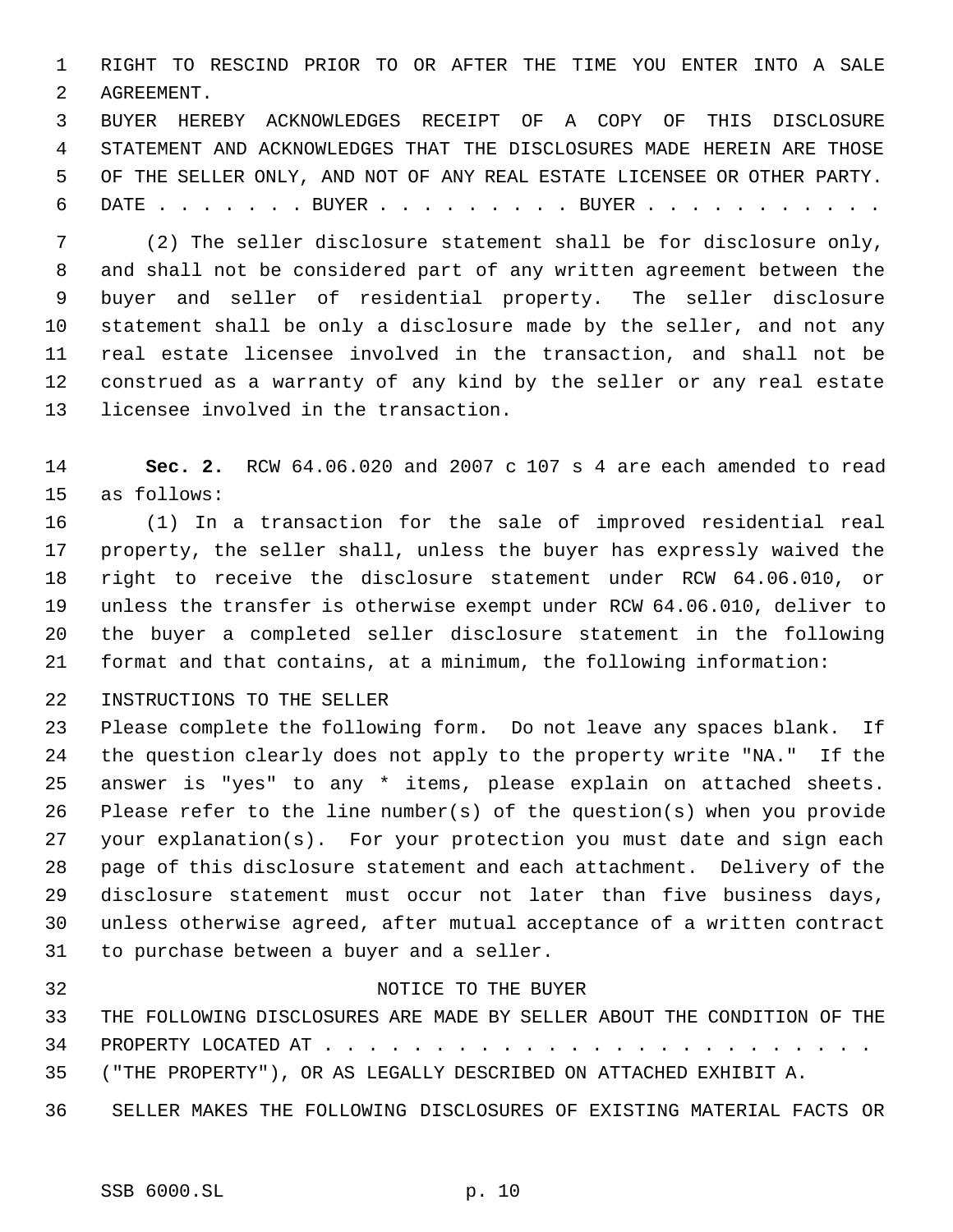RIGHT TO RESCIND PRIOR TO OR AFTER THE TIME YOU ENTER INTO A SALE AGREEMENT.

 BUYER HEREBY ACKNOWLEDGES RECEIPT OF A COPY OF THIS DISCLOSURE STATEMENT AND ACKNOWLEDGES THAT THE DISCLOSURES MADE HEREIN ARE THOSE OF THE SELLER ONLY, AND NOT OF ANY REAL ESTATE LICENSEE OR OTHER PARTY. DATE . . . . . . . BUYER . . . . . . . . . BUYER . . . . . . . . . . .

 (2) The seller disclosure statement shall be for disclosure only, and shall not be considered part of any written agreement between the buyer and seller of residential property. The seller disclosure statement shall be only a disclosure made by the seller, and not any real estate licensee involved in the transaction, and shall not be construed as a warranty of any kind by the seller or any real estate licensee involved in the transaction.

 **Sec. 2.** RCW 64.06.020 and 2007 c 107 s 4 are each amended to read as follows:

 (1) In a transaction for the sale of improved residential real property, the seller shall, unless the buyer has expressly waived the right to receive the disclosure statement under RCW 64.06.010, or unless the transfer is otherwise exempt under RCW 64.06.010, deliver to the buyer a completed seller disclosure statement in the following format and that contains, at a minimum, the following information:

INSTRUCTIONS TO THE SELLER

 Please complete the following form. Do not leave any spaces blank. If the question clearly does not apply to the property write "NA." If the answer is "yes" to any \* items, please explain on attached sheets. Please refer to the line number(s) of the question(s) when you provide your explanation(s). For your protection you must date and sign each page of this disclosure statement and each attachment. Delivery of the disclosure statement must occur not later than five business days, unless otherwise agreed, after mutual acceptance of a written contract to purchase between a buyer and a seller.

### NOTICE TO THE BUYER

 THE FOLLOWING DISCLOSURES ARE MADE BY SELLER ABOUT THE CONDITION OF THE PROPERTY LOCATED AT . . . . . . . . . . . . . . . . . . . . . . . . . ("THE PROPERTY"), OR AS LEGALLY DESCRIBED ON ATTACHED EXHIBIT A.

36 SELLER MAKES THE FOLLOWING DISCLOSURES OF EXISTING MATERIAL FACTS OR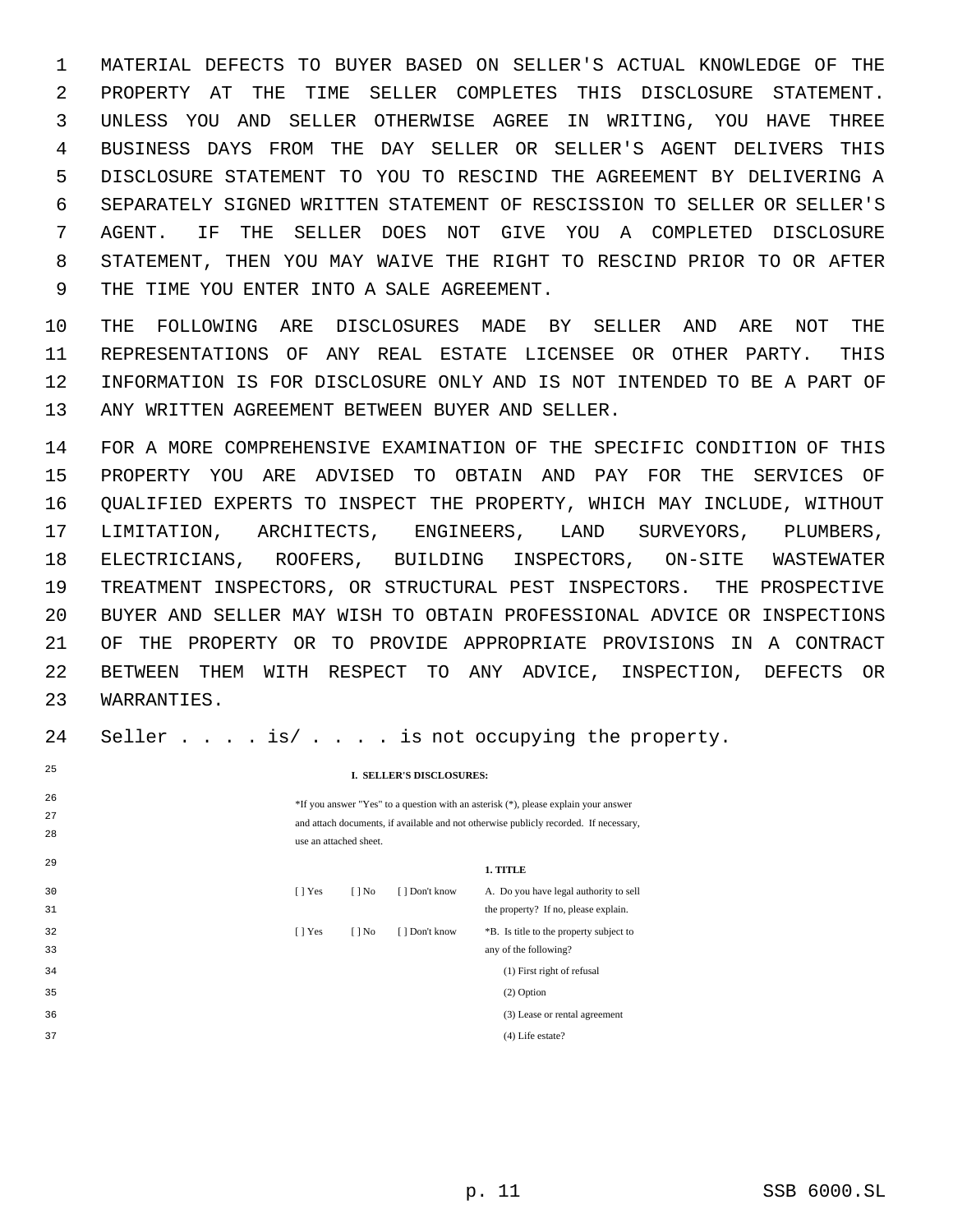MATERIAL DEFECTS TO BUYER BASED ON SELLER'S ACTUAL KNOWLEDGE OF THE PROPERTY AT THE TIME SELLER COMPLETES THIS DISCLOSURE STATEMENT. UNLESS YOU AND SELLER OTHERWISE AGREE IN WRITING, YOU HAVE THREE BUSINESS DAYS FROM THE DAY SELLER OR SELLER'S AGENT DELIVERS THIS DISCLOSURE STATEMENT TO YOU TO RESCIND THE AGREEMENT BY DELIVERING A SEPARATELY SIGNED WRITTEN STATEMENT OF RESCISSION TO SELLER OR SELLER'S AGENT. IF THE SELLER DOES NOT GIVE YOU A COMPLETED DISCLOSURE STATEMENT, THEN YOU MAY WAIVE THE RIGHT TO RESCIND PRIOR TO OR AFTER THE TIME YOU ENTER INTO A SALE AGREEMENT.

 THE FOLLOWING ARE DISCLOSURES MADE BY SELLER AND ARE NOT THE REPRESENTATIONS OF ANY REAL ESTATE LICENSEE OR OTHER PARTY. THIS INFORMATION IS FOR DISCLOSURE ONLY AND IS NOT INTENDED TO BE A PART OF ANY WRITTEN AGREEMENT BETWEEN BUYER AND SELLER.

 FOR A MORE COMPREHENSIVE EXAMINATION OF THE SPECIFIC CONDITION OF THIS PROPERTY YOU ARE ADVISED TO OBTAIN AND PAY FOR THE SERVICES OF QUALIFIED EXPERTS TO INSPECT THE PROPERTY, WHICH MAY INCLUDE, WITHOUT LIMITATION, ARCHITECTS, ENGINEERS, LAND SURVEYORS, PLUMBERS, ELECTRICIANS, ROOFERS, BUILDING INSPECTORS, ON-SITE WASTEWATER TREATMENT INSPECTORS, OR STRUCTURAL PEST INSPECTORS. THE PROSPECTIVE BUYER AND SELLER MAY WISH TO OBTAIN PROFESSIONAL ADVICE OR INSPECTIONS OF THE PROPERTY OR TO PROVIDE APPROPRIATE PROVISIONS IN A CONTRACT BETWEEN THEM WITH RESPECT TO ANY ADVICE, INSPECTION, DEFECTS OR WARRANTIES.

24 Seller . . . . is/ . . . . is not occupying the property.

**I. SELLER'S DISCLOSURES:**

\*If you answer "Yes" to a question with an asterisk (\*), please explain your answer and attach documents, if available and not otherwise publicly recorded. If necessary, use an attached sheet.

| -- |           |                          |                | 1. TITLE                                |
|----|-----------|--------------------------|----------------|-----------------------------------------|
| 30 | $[$   Yes | $\lceil \cdot \rceil$ No | [ ] Don't know | A. Do you have legal authority to sell  |
| 31 |           |                          |                | the property? If no, please explain.    |
| 32 | $[$   Yes | $\lceil \cdot \rceil$ No | [ ] Don't know | *B. Is title to the property subject to |
| 33 |           |                          |                | any of the following?                   |
| 34 |           |                          |                | (1) First right of refusal              |
| 35 |           |                          |                | $(2)$ Option                            |
| 36 |           |                          |                | (3) Lease or rental agreement           |
| 37 |           |                          |                | $(4)$ Life estate?                      |
|    |           |                          |                |                                         |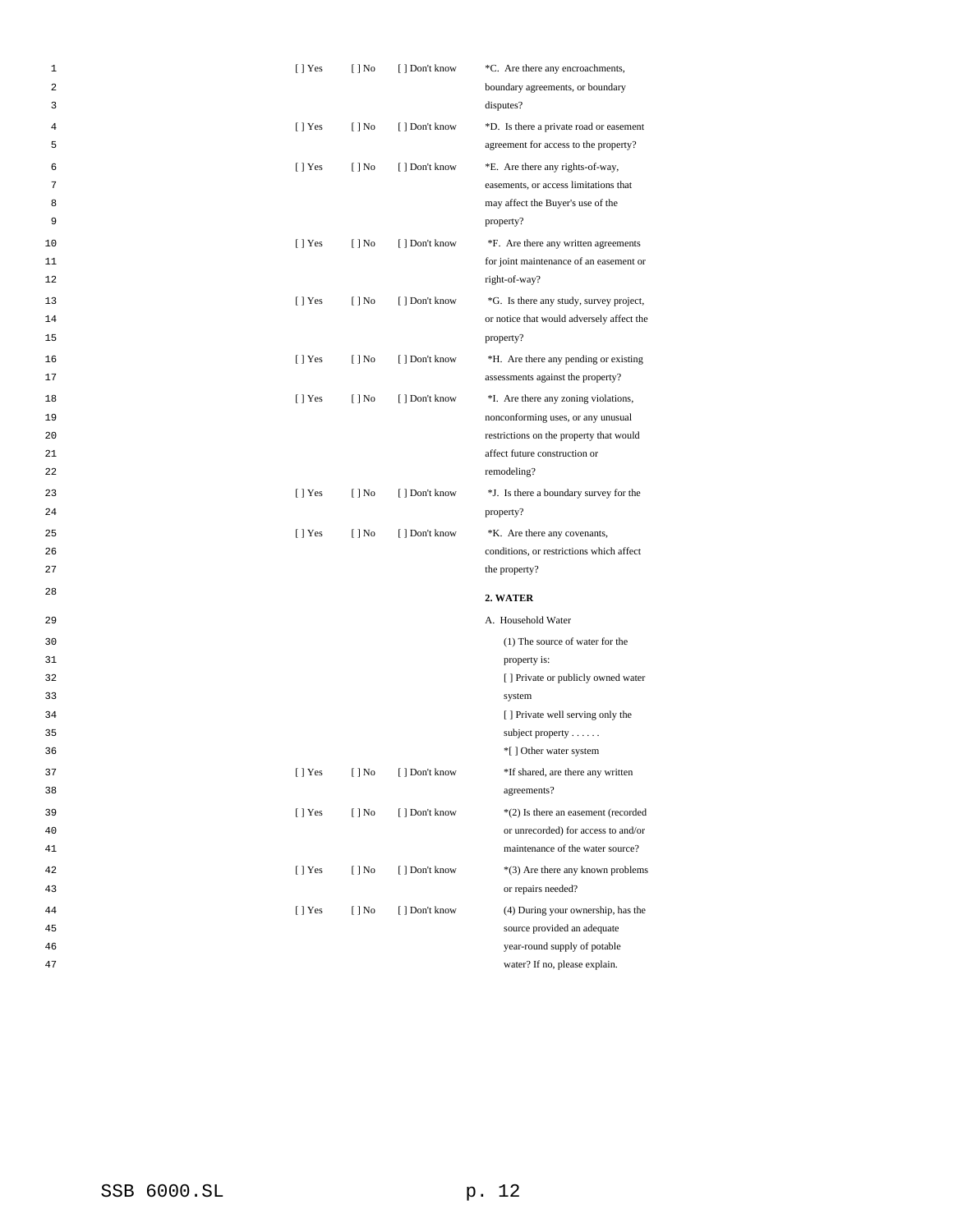| 1<br>$\overline{\mathbf{c}}$<br>3 | $[ ]$ Yes | $[ ]$ No | [ ] Don't know | *C. Are there any encroachments,<br>boundary agreements, or boundary<br>disputes?                                                                                     |
|-----------------------------------|-----------|----------|----------------|-----------------------------------------------------------------------------------------------------------------------------------------------------------------------|
| 4<br>5                            | $[ ]$ Yes | $[ ]$ No | [ ] Don't know | *D. Is there a private road or easement<br>agreement for access to the property?                                                                                      |
| 6<br>7<br>8<br>9                  | $[ ]$ Yes | $[ ]$ No | [ ] Don't know | *E. Are there any rights-of-way,<br>easements, or access limitations that<br>may affect the Buyer's use of the<br>property?                                           |
| 10<br>11<br>12                    | $[ ]$ Yes | $[ ]$ No | [ ] Don't know | *F. Are there any written agreements<br>for joint maintenance of an easement or<br>right-of-way?                                                                      |
| 13<br>14<br>15                    | $[ ]$ Yes | $[ ]$ No | [ ] Don't know | *G. Is there any study, survey project,<br>or notice that would adversely affect the<br>property?                                                                     |
| 16<br>17                          | $[$   Yes | $[ ]$ No | [ ] Don't know | *H. Are there any pending or existing<br>assessments against the property?                                                                                            |
| 18<br>19<br>20<br>21<br>22        | $[$   Yes | $[ ]$ No | [ ] Don't know | *I. Are there any zoning violations,<br>nonconforming uses, or any unusual<br>restrictions on the property that would<br>affect future construction or<br>remodeling? |
| 23<br>24                          | $[ ]$ Yes | $[ ]$ No | [ ] Don't know | *J. Is there a boundary survey for the<br>property?                                                                                                                   |
| 25<br>26<br>27                    | $[ ]$ Yes | $[ ]$ No | [ ] Don't know | *K. Are there any covenants,<br>conditions, or restrictions which affect<br>the property?                                                                             |
| 28                                |           |          |                | 2. WATER                                                                                                                                                              |
| 29                                |           |          |                | A. Household Water                                                                                                                                                    |
| 30                                |           |          |                | (1) The source of water for the                                                                                                                                       |
| 31                                |           |          |                | property is:                                                                                                                                                          |
| 32<br>33                          |           |          |                | [] Private or publicly owned water<br>system                                                                                                                          |
| 34                                |           |          |                | [] Private well serving only the                                                                                                                                      |
| 35                                |           |          |                | subject property                                                                                                                                                      |
| 36                                |           |          |                | *[] Other water system                                                                                                                                                |
| 37<br>38                          | $[ ]$ Yes | $[$   No | [ ] Don't know | *If shared, are there any written<br>agreements?                                                                                                                      |
| 39                                | $[ ]$ Yes | $[ ]$ No | [ ] Don't know | *(2) Is there an easement (recorded                                                                                                                                   |
| 40<br>41                          |           |          |                | or unrecorded) for access to and/or<br>maintenance of the water source?                                                                                               |
| 42<br>43                          | $[$   Yes | $[ ]$ No | [ ] Don't know | *(3) Are there any known problems<br>or repairs needed?                                                                                                               |
| 44                                | $[ ]$ Yes | $[ ]$ No | [ ] Don't know | (4) During your ownership, has the                                                                                                                                    |
| 45                                |           |          |                | source provided an adequate                                                                                                                                           |
| 46                                |           |          |                | year-round supply of potable<br>water? If no, please explain.                                                                                                         |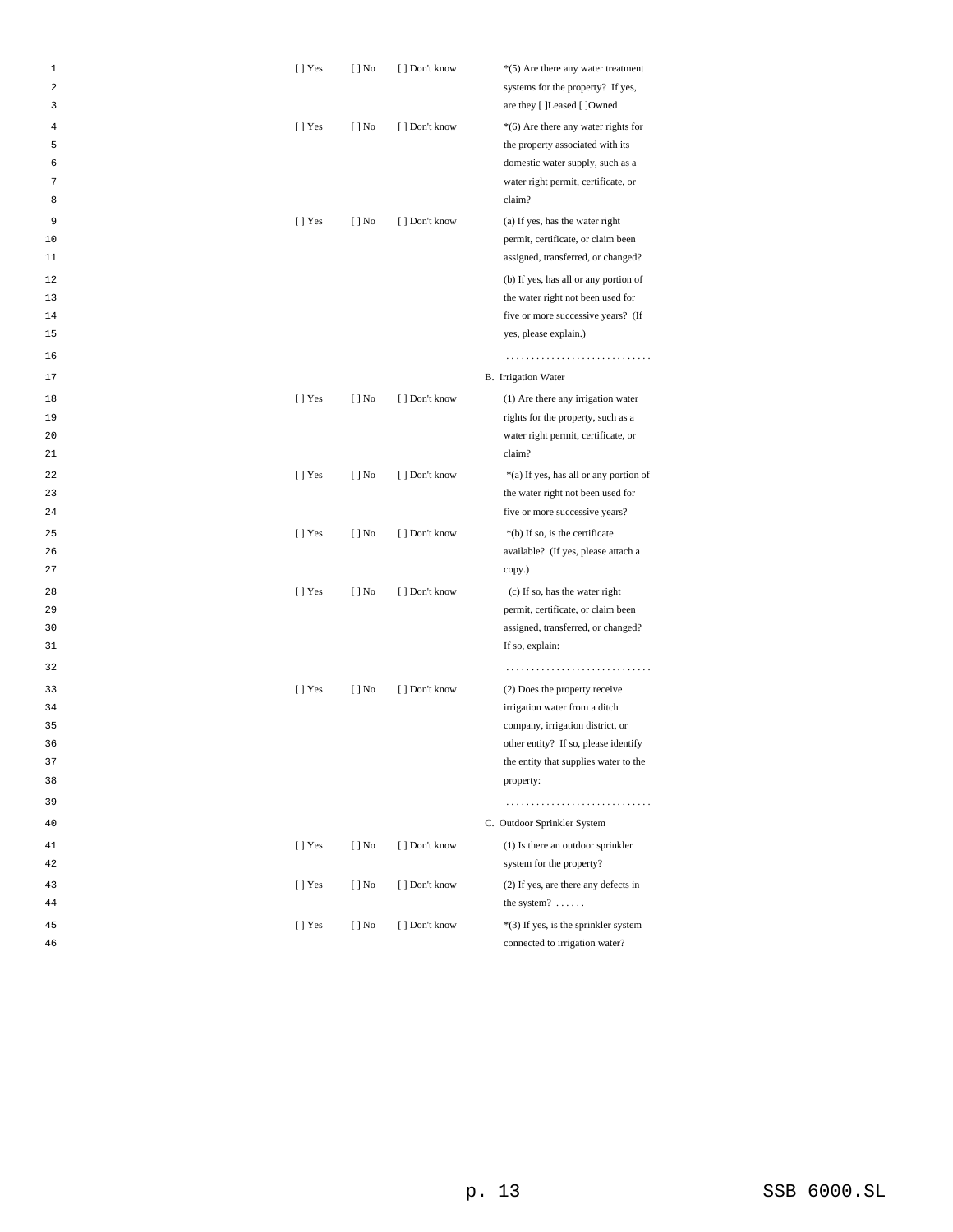| 1<br>2<br>3                                 | $[ ]$ Yes | $[ ]$ No | [ ] Don't know | $*(5)$ Are there any water treatment<br>systems for the property? If yes,<br>are they [ ]Leased [ ]Owned                                                                                                                                                 |
|---------------------------------------------|-----------|----------|----------------|----------------------------------------------------------------------------------------------------------------------------------------------------------------------------------------------------------------------------------------------------------|
| 4<br>5<br>6<br>7<br>8                       | [] Yes    | $[ ]$ No | [ ] Don't know | *(6) Are there any water rights for<br>the property associated with its<br>domestic water supply, such as a<br>water right permit, certificate, or<br>claim?                                                                                             |
| 9<br>10<br>11<br>12<br>13<br>14<br>15<br>16 | $[ ]$ Yes | $[ ]$ No | [ ] Don't know | (a) If yes, has the water right<br>permit, certificate, or claim been<br>assigned, transferred, or changed?<br>(b) If yes, has all or any portion of<br>the water right not been used for<br>five or more successive years? (If<br>yes, please explain.) |
| 17                                          |           |          |                | B. Irrigation Water                                                                                                                                                                                                                                      |
| 18<br>19<br>20<br>21                        | $[ ]$ Yes | $[ ]$ No | [] Don't know  | (1) Are there any irrigation water<br>rights for the property, such as a<br>water right permit, certificate, or<br>claim?                                                                                                                                |
| 22<br>23<br>24                              | $[ ]$ Yes | $[ ]$ No | [ ] Don't know | *(a) If yes, has all or any portion of<br>the water right not been used for<br>five or more successive years?                                                                                                                                            |
| 25<br>26<br>27                              | $[ ]$ Yes | $[ ]$ No | [ ] Don't know | *(b) If so, is the certificate<br>available? (If yes, please attach a<br>copy.)                                                                                                                                                                          |
| 28<br>29<br>30<br>31                        | $[ ]$ Yes | $[ ]$ No | [ ] Don't know | (c) If so, has the water right<br>permit, certificate, or claim been<br>assigned, transferred, or changed?<br>If so, explain:                                                                                                                            |
| 32<br>33                                    | [] Yes    | $[ ]$ No | [ ] Don't know | (2) Does the property receive                                                                                                                                                                                                                            |
| 34<br>35<br>36<br>37                        |           |          |                | irrigation water from a ditch<br>company, irrigation district, or<br>other entity? If so, please identify<br>the entity that supplies water to the                                                                                                       |
| 38<br>39                                    |           |          |                | property:                                                                                                                                                                                                                                                |
| 40                                          |           |          |                | C. Outdoor Sprinkler System                                                                                                                                                                                                                              |
| 41<br>42                                    | $[$   Yes | $[ ]$ No | [ ] Don't know | (1) Is there an outdoor sprinkler<br>system for the property?                                                                                                                                                                                            |
| 43<br>44                                    | $[ ]$ Yes | $[ ]$ No | [ ] Don't know | (2) If yes, are there any defects in<br>the system?                                                                                                                                                                                                      |
| 45<br>46                                    | $[ ]$ Yes | $[ ]$ No | [ ] Don't know | *(3) If yes, is the sprinkler system<br>connected to irrigation water?                                                                                                                                                                                   |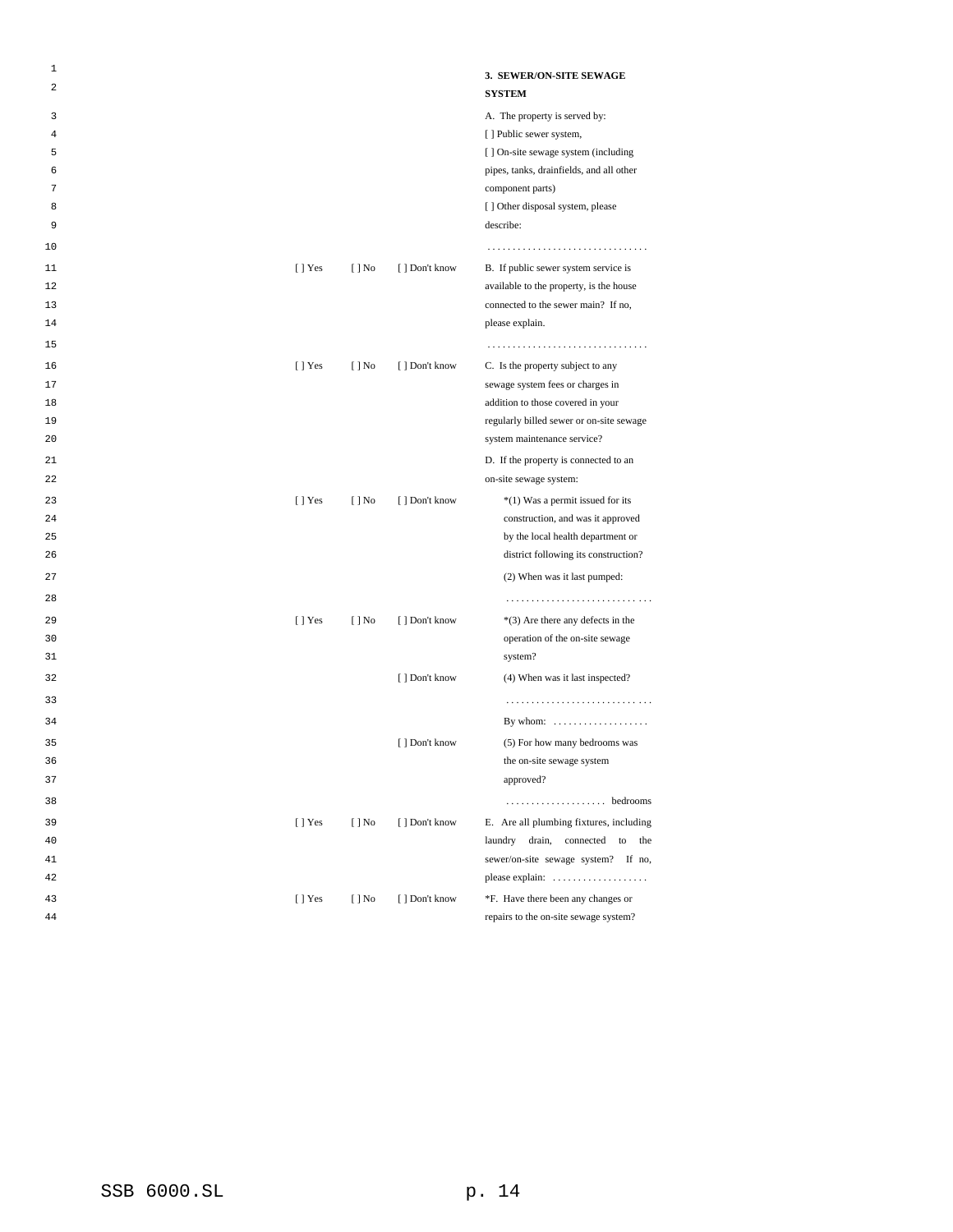| 1<br>2 |           |          |                | 3. SEWER/ON-SITE SEWAGE<br><b>SYSTEM</b>       |
|--------|-----------|----------|----------------|------------------------------------------------|
| 3      |           |          |                | A. The property is served by:                  |
| 4      |           |          |                | [] Public sewer system,                        |
| 5      |           |          |                | [] On-site sewage system (including            |
| 6      |           |          |                | pipes, tanks, drainfields, and all other       |
| 7      |           |          |                | component parts)                               |
| 8      |           |          |                | [] Other disposal system, please               |
| 9      |           |          |                | describe:                                      |
| 10     |           |          |                |                                                |
| 11     | $[$   Yes | $[ ]$ No | [] Don't know  | B. If public sewer system service is           |
| 12     |           |          |                | available to the property, is the house        |
| 13     |           |          |                | connected to the sewer main? If no,            |
| 14     |           |          |                | please explain.                                |
| 15     |           |          |                |                                                |
| 16     | $[ ]$ Yes | $[ ]$ No | [] Don't know  | C. Is the property subject to any              |
| 17     |           |          |                | sewage system fees or charges in               |
| 18     |           |          |                | addition to those covered in your              |
| 19     |           |          |                | regularly billed sewer or on-site sewage       |
| 20     |           |          |                | system maintenance service?                    |
| 21     |           |          |                | D. If the property is connected to an          |
| 22     |           |          |                | on-site sewage system:                         |
| 23     | $[ ]$ Yes | $[ ]$ No | [] Don't know  | *(1) Was a permit issued for its               |
| 24     |           |          |                | construction, and was it approved              |
| 25     |           |          |                | by the local health department or              |
| 26     |           |          |                | district following its construction?           |
| 27     |           |          |                | (2) When was it last pumped:                   |
| 28     |           |          |                |                                                |
| 29     | $[ ]$ Yes | $[ ]$ No | [ ] Don't know | $*(3)$ Are there any defects in the            |
| 30     |           |          |                | operation of the on-site sewage                |
| 31     |           |          |                | system?                                        |
| 32     |           |          | [ ] Don't know | (4) When was it last inspected?                |
| 33     |           |          |                |                                                |
| 34     |           |          |                | By whom: $\dots\dots\dots\dots\dots\dots\dots$ |
| 35     |           |          | [] Don't know  | (5) For how many bedrooms was                  |
| 36     |           |          |                | the on-site sewage system                      |
| 37     |           |          |                | approved?                                      |
| 38     |           |          |                |                                                |
| 39     | $[ ]$ Yes | $[ ]$ No | [ ] Don't know | E. Are all plumbing fixtures, including        |
| 40     |           |          |                | laundry<br>drain, connected to the             |
| 41     |           |          |                | sewer/on-site sewage system? If no,            |
| 42     |           |          |                | please explain:                                |
| 43     | [ ] Yes   | $[ ]$ No | [ ] Don't know | *F. Have there been any changes or             |
| 44     |           |          |                | repairs to the on-site sewage system?          |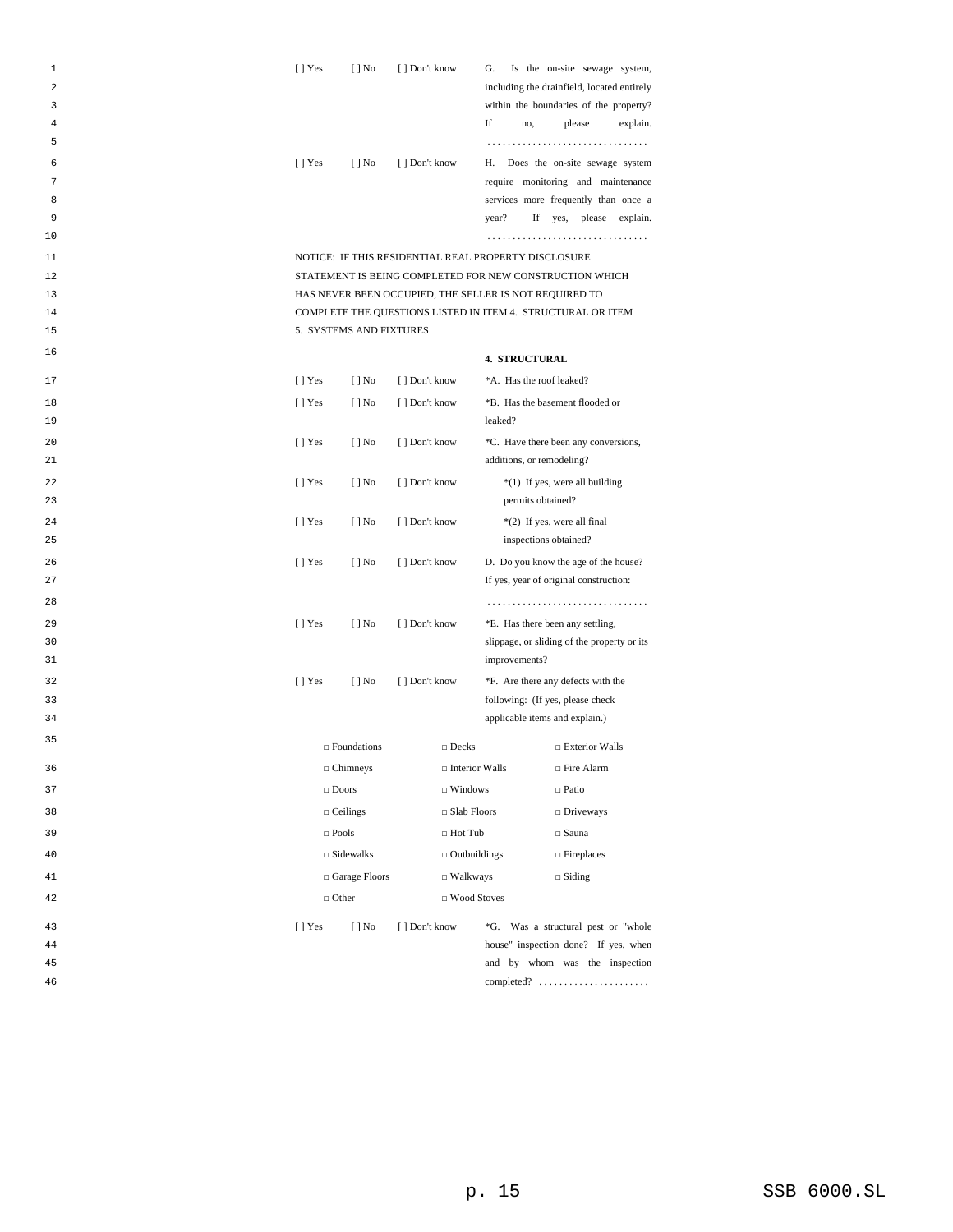| 1<br>2<br>3<br>4<br>5  | $[ ]$ Yes      | $[ ]$ No                | [ ] Don't know |                       | G.<br>including the drainfield, located entirely<br>within the boundaries of the property?<br>If<br>no,                  | Is the on-site sewage system,<br>please | explain. |
|------------------------|----------------|-------------------------|----------------|-----------------------|--------------------------------------------------------------------------------------------------------------------------|-----------------------------------------|----------|
| 6<br>7<br>8<br>9<br>10 | $\lceil$   Yes | $[ ]$ No                | [ ] Don't know |                       | H. Does the on-site sewage system<br>require monitoring and maintenance<br>services more frequently than once a<br>year? | If yes, please explain.                 |          |
| 11                     |                |                         |                |                       | NOTICE: IF THIS RESIDENTIAL REAL PROPERTY DISCLOSURE                                                                     |                                         |          |
| 12                     |                |                         |                |                       | STATEMENT IS BEING COMPLETED FOR NEW CONSTRUCTION WHICH                                                                  |                                         |          |
| 13                     |                |                         |                |                       | HAS NEVER BEEN OCCUPIED, THE SELLER IS NOT REQUIRED TO                                                                   |                                         |          |
| 14                     |                |                         |                |                       | COMPLETE THE QUESTIONS LISTED IN ITEM 4. STRUCTURAL OR ITEM                                                              |                                         |          |
| 15                     |                | 5. SYSTEMS AND FIXTURES |                |                       |                                                                                                                          |                                         |          |
| 16                     |                |                         |                |                       | <b>4. STRUCTURAL</b>                                                                                                     |                                         |          |
| 17                     | $[ ]$ Yes      | $[ ]$ No                | [ ] Don't know |                       | *A. Has the roof leaked?                                                                                                 |                                         |          |
| 18<br>19               | $[ ]$ Yes      | $[ ]$ No                | [ ] Don't know |                       | *B. Has the basement flooded or<br>leaked?                                                                               |                                         |          |
| 20                     | $[ ]$ Yes      | $[ ]$ No                | [ ] Don't know |                       | *C. Have there been any conversions,                                                                                     |                                         |          |
| 21                     |                |                         |                |                       | additions, or remodeling?                                                                                                |                                         |          |
| 22                     | $[ ]$ Yes      | $[ ]$ No                | [ ] Don't know |                       |                                                                                                                          | *(1) If yes, were all building          |          |
| 23                     |                |                         |                |                       | permits obtained?                                                                                                        |                                         |          |
| 24                     | $[ ]$ Yes      | $[ ]$ No                | [ ] Don't know |                       |                                                                                                                          | *(2) If yes, were all final             |          |
| 25                     |                |                         |                |                       | inspections obtained?                                                                                                    |                                         |          |
| 26                     | $[ ]$ Yes      | $[ ]$ No                | [ ] Don't know |                       | D. Do you know the age of the house?                                                                                     |                                         |          |
| 27                     |                |                         |                |                       | If yes, year of original construction:                                                                                   |                                         |          |
| 28                     |                |                         |                |                       |                                                                                                                          |                                         |          |
| 29                     | $[ ]$ Yes      | $[ ]$ No                | [ ] Don't know |                       | *E. Has there been any settling,                                                                                         |                                         |          |
| 30<br>31               |                |                         |                |                       | slippage, or sliding of the property or its<br>improvements?                                                             |                                         |          |
| 32                     | $[ ]$ Yes      | $[ ]$ No                | [ ] Don't know |                       | *F. Are there any defects with the                                                                                       |                                         |          |
| 33                     |                |                         |                |                       | following: (If yes, please check                                                                                         |                                         |          |
| 34                     |                |                         |                |                       | applicable items and explain.)                                                                                           |                                         |          |
| 35                     |                | $\square$ Foundations   |                | $\Box$ Decks          |                                                                                                                          | $\Box$ Exterior Walls                   |          |
| 36                     |                | $\Box$ Chimneys         |                | $\Box$ Interior Walls |                                                                                                                          | □ Fire Alarm                            |          |
| 37                     |                | $\Box$ Doors            |                | $\Box$ Windows        |                                                                                                                          | $\Box$ Patio                            |          |
| 38                     |                | $\Box$ Ceilings         |                | $\Box$ Slab Floors    |                                                                                                                          | $\Box$ Driveways                        |          |
| 39                     |                | $\Box$ Pools            |                | $\Box$ Hot Tub        |                                                                                                                          | $\Box$ Sauna                            |          |
| 40                     |                | $\square$ Sidewalks     |                | $\Box$ Outbuildings   |                                                                                                                          | $\Box$ Fireplaces                       |          |
| 41                     |                | □ Garage Floors         |                | $\Box$ Walkways       |                                                                                                                          | $\Box$ Siding                           |          |
| 42                     |                | $\Box$ Other            |                | □ Wood Stoves         |                                                                                                                          |                                         |          |
| 43                     | $\lceil$   Yes | $[ ]$ No                | [] Don't know  |                       | *G. Was a structural pest or "whole                                                                                      |                                         |          |
| 44                     |                |                         |                |                       | house" inspection done? If yes, when                                                                                     |                                         |          |
| 45                     |                |                         |                |                       | and by whom was the inspection                                                                                           |                                         |          |
| 46                     |                |                         |                |                       |                                                                                                                          |                                         |          |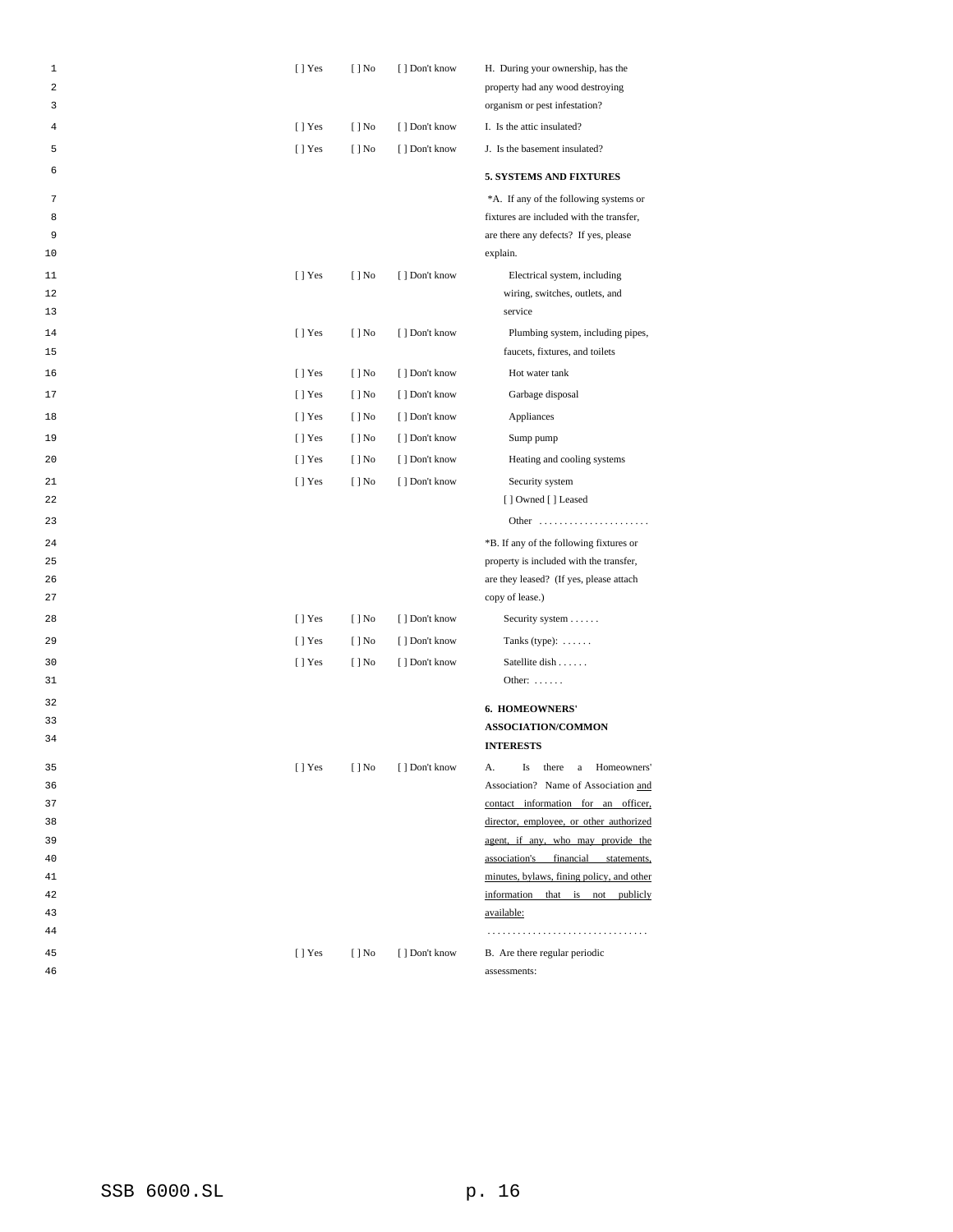| 1  | $[$   Yes | $[ ]$ No | [ ] Don't know | H. During your ownership, has the         |
|----|-----------|----------|----------------|-------------------------------------------|
| 2  |           |          |                | property had any wood destroying          |
| 3  |           |          |                | organism or pest infestation?             |
| 4  | [ ] Yes   | $[ ]$ No | [ ] Don't know | I. Is the attic insulated?                |
| 5  | $[ ]$ Yes | $[ ]$ No | [ ] Don't know | J. Is the basement insulated?             |
| 6  |           |          |                | <b>5. SYSTEMS AND FIXTURES</b>            |
| 7  |           |          |                | *A. If any of the following systems or    |
| 8  |           |          |                | fixtures are included with the transfer,  |
| 9  |           |          |                | are there any defects? If yes, please     |
| 10 |           |          |                | explain.                                  |
| 11 | $[ ]$ Yes | $[ ]$ No | [ ] Don't know | Electrical system, including              |
| 12 |           |          |                | wiring, switches, outlets, and            |
| 13 |           |          |                | service                                   |
| 14 | $[ ]$ Yes | $[ ]$ No | [ ] Don't know | Plumbing system, including pipes,         |
| 15 |           |          |                | faucets, fixtures, and toilets            |
| 16 | $[ ]$ Yes | $[ ]$ No | [ ] Don't know | Hot water tank                            |
| 17 | $[$   Yes | $[ ]$ No | [ ] Don't know | Garbage disposal                          |
| 18 | $[ ]$ Yes | $[ ]$ No | [ ] Don't know | Appliances                                |
| 19 | $[ ]$ Yes | $[ ]$ No | [ ] Don't know | Sump pump                                 |
| 20 | $[ ]$ Yes | $[ ]$ No | [ ] Don't know | Heating and cooling systems               |
| 21 | [ ] Yes   | $[ ]$ No | [ ] Don't know | Security system                           |
| 22 |           |          |                | [] Owned [] Leased                        |
| 23 |           |          |                | Other                                     |
| 24 |           |          |                | *B. If any of the following fixtures or   |
| 25 |           |          |                | property is included with the transfer,   |
| 26 |           |          |                | are they leased? (If yes, please attach   |
| 27 |           |          |                | copy of lease.)                           |
| 28 | $[ ]$ Yes | $[ ]$ No | [ ] Don't know | Security system                           |
| 29 | $[ ]$ Yes | $[ ]$ No | [ ] Don't know | Tanks (type): $\dots$ .                   |
| 30 | [ ] Yes   | $[ ]$ No | [ ] Don't know | Satellite dish                            |
| 31 |           |          |                | Other: $\dots$ .                          |
| 32 |           |          |                | <b>6. HOMEOWNERS'</b>                     |
| 33 |           |          |                | <b>ASSOCIATION/COMMON</b>                 |
| 34 |           |          |                | <b>INTERESTS</b>                          |
| 35 | $[ ]$ Yes | $[$   No | [ ] Don't know | А.<br>Is<br>a Homeowners'<br>there        |
| 36 |           |          |                | Association? Name of Association and      |
| 37 |           |          |                | contact information for an officer,       |
| 38 |           |          |                | director, employee, or other authorized   |
| 39 |           |          |                | agent, if any, who may provide the        |
| 40 |           |          |                | association's financial statements,       |
| 41 |           |          |                | minutes, bylaws, fining policy, and other |
| 42 |           |          |                | information that is not publicly          |
| 43 |           |          |                | available:                                |
| 44 |           |          |                |                                           |
| 45 | [ ] Yes   | $[ ]$ No | [ ] Don't know | B. Are there regular periodic             |
| 46 |           |          |                | assessments:                              |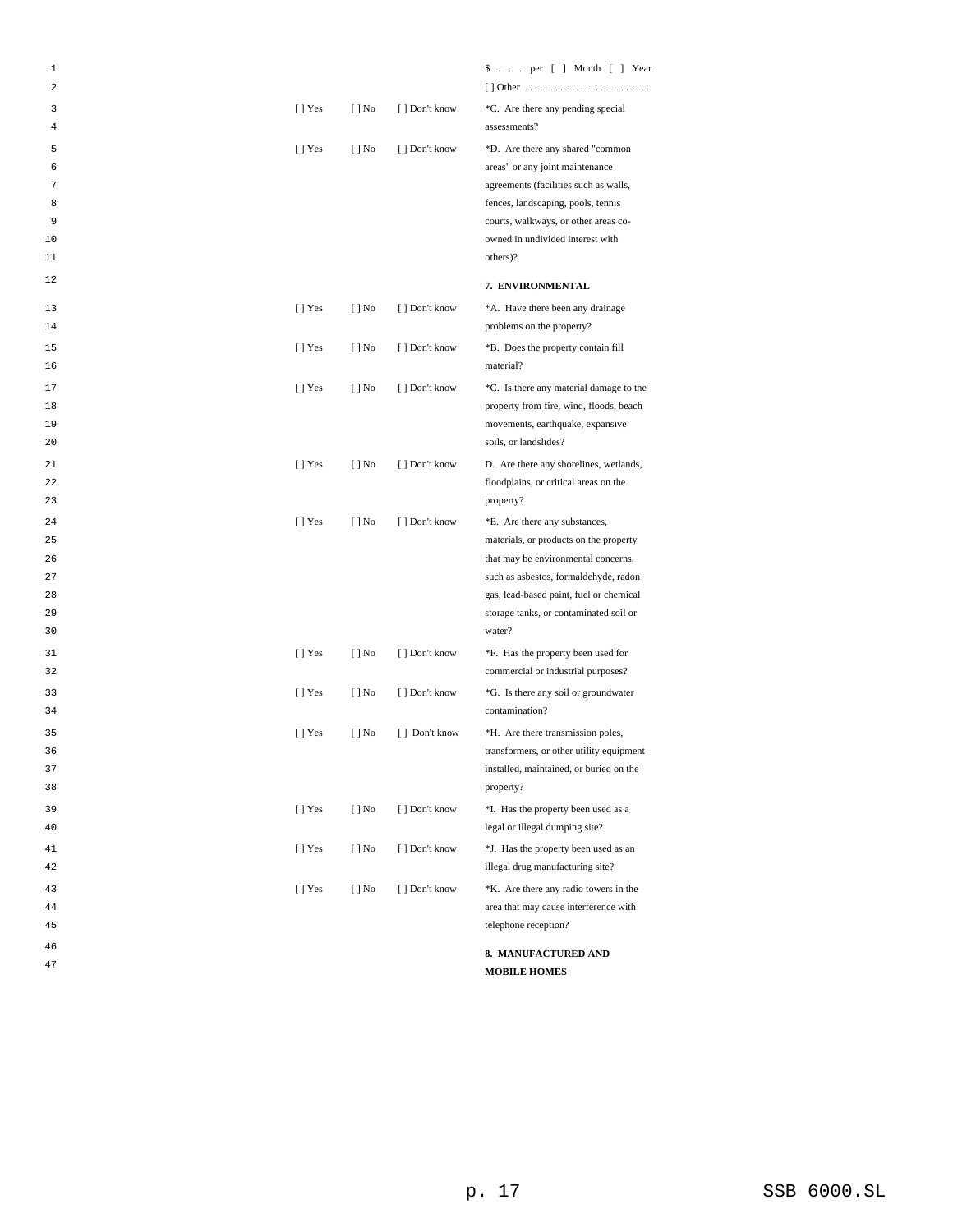| 1<br>2                                 |           |          |                | \$ per [ ] Month [ ] Year<br>$[ ]$ Other                                                                                                                                                                                                               |
|----------------------------------------|-----------|----------|----------------|--------------------------------------------------------------------------------------------------------------------------------------------------------------------------------------------------------------------------------------------------------|
| 3<br>4                                 | $[ ]$ Yes | $[$   No | [ ] Don't know | *C. Are there any pending special<br>assessments?                                                                                                                                                                                                      |
| 5<br>6<br>7<br>8<br>9<br>10<br>11      | $[$   Yes | $[$   No | [ ] Don't know | *D. Are there any shared "common<br>areas" or any joint maintenance<br>agreements (facilities such as walls,<br>fences, landscaping, pools, tennis<br>courts, walkways, or other areas co-<br>owned in undivided interest with<br>others)?             |
| 12                                     |           |          |                | 7. ENVIRONMENTAL                                                                                                                                                                                                                                       |
| 13<br>14                               | $[ ]$ Yes | $[ ]$ No | [ ] Don't know | *A. Have there been any drainage<br>problems on the property?                                                                                                                                                                                          |
| 15<br>16                               | $[ ]$ Yes | $[ ]$ No | [ ] Don't know | *B. Does the property contain fill<br>material?                                                                                                                                                                                                        |
| 17<br>18<br>19<br>20                   | $[ ]$ Yes | $[ ]$ No | [ ] Don't know | *C. Is there any material damage to the<br>property from fire, wind, floods, beach<br>movements, earthquake, expansive<br>soils, or landslides?                                                                                                        |
| 21<br>22<br>23                         | $[$   Yes | $[ ]$ No | [ ] Don't know | D. Are there any shorelines, wetlands,<br>floodplains, or critical areas on the<br>property?                                                                                                                                                           |
| 24<br>25<br>26<br>27<br>28<br>29<br>30 | $[ ]$ Yes | $[ ]$ No | [ ] Don't know | *E. Are there any substances,<br>materials, or products on the property<br>that may be environmental concerns,<br>such as asbestos, formaldehyde, radon<br>gas, lead-based paint, fuel or chemical<br>storage tanks, or contaminated soil or<br>water? |
| 31<br>32                               | $[ ]$ Yes | $[ ]$ No | [ ] Don't know | *F. Has the property been used for<br>commercial or industrial purposes?                                                                                                                                                                               |
| 33<br>34                               | $[ ]$ Yes | $[ ]$ No | [ ] Don't know | *G. Is there any soil or groundwater<br>contamination?                                                                                                                                                                                                 |
| 35<br>36<br>37<br>38                   | $[ ]$ Yes | $[ ]$ No | [ ] Don't know | *H. Are there transmission poles,<br>transformers, or other utility equipment<br>installed, maintained, or buried on the<br>property?                                                                                                                  |
| 39<br>40                               | $[$   Yes | $[$   No | [ ] Don't know | *I. Has the property been used as a<br>legal or illegal dumping site?                                                                                                                                                                                  |
| 41<br>42                               | $[ ]$ Yes | $[$   No | [] Don't know  | *J. Has the property been used as an<br>illegal drug manufacturing site?                                                                                                                                                                               |
| 43<br>44<br>45                         | [ ] Yes   | $[ ]$ No | [ ] Don't know | *K. Are there any radio towers in the<br>area that may cause interference with<br>telephone reception?                                                                                                                                                 |
| 46<br>47                               |           |          |                | 8. MANUFACTURED AND                                                                                                                                                                                                                                    |
|                                        |           |          |                |                                                                                                                                                                                                                                                        |

47

**MOBILE HOMES**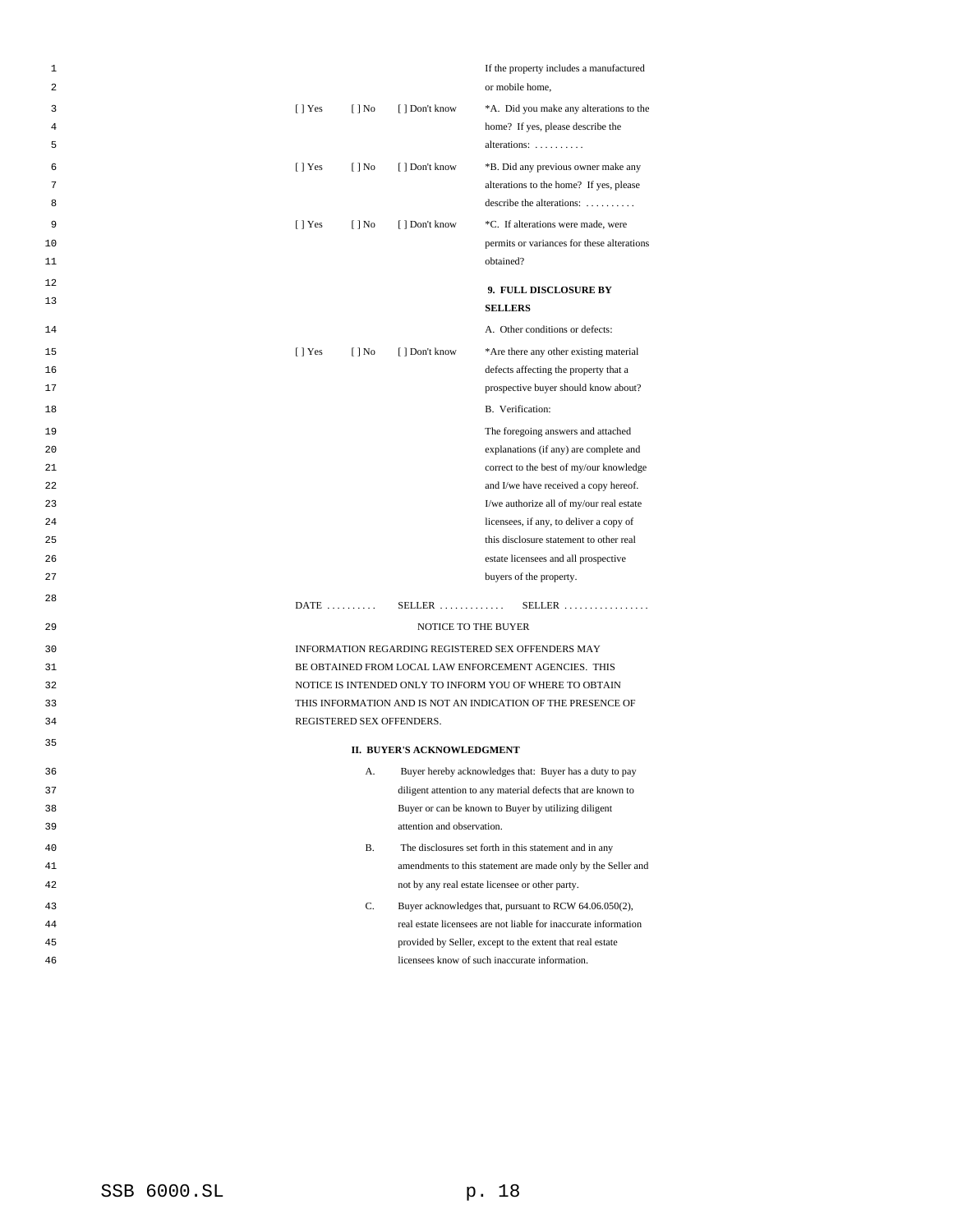| 1<br>2        |                                                              |                          |                            | If the property includes a manufactured<br>or mobile home,                                                  |  |  |
|---------------|--------------------------------------------------------------|--------------------------|----------------------------|-------------------------------------------------------------------------------------------------------------|--|--|
| 3<br>4<br>5   | $[ ]$ Yes                                                    | $[ ]$ No                 | [ ] Don't know             | *A. Did you make any alterations to the<br>home? If yes, please describe the<br>alterations:                |  |  |
| 6<br>7<br>8   | $[$   Yes                                                    | $[ ]$ No                 | [ ] Don't know             | *B. Did any previous owner make any<br>alterations to the home? If yes, please<br>describe the alterations: |  |  |
| 9<br>10<br>11 | [ ] Yes                                                      | $\lceil \cdot \rceil$ No | [ ] Don't know             | *C. If alterations were made, were<br>permits or variances for these alterations<br>obtained?               |  |  |
| 12<br>13      |                                                              |                          |                            | 9. FULL DISCLOSURE BY<br><b>SELLERS</b>                                                                     |  |  |
| 14            |                                                              |                          |                            | A. Other conditions or defects:                                                                             |  |  |
| 15            | $[ ]$ Yes                                                    | $[ ]$ No                 | [ ] Don't know             | *Are there any other existing material                                                                      |  |  |
| 16<br>17      |                                                              |                          |                            | defects affecting the property that a<br>prospective buyer should know about?                               |  |  |
| 18            |                                                              |                          |                            | B. Verification:                                                                                            |  |  |
| 19            |                                                              |                          |                            | The foregoing answers and attached                                                                          |  |  |
| 20            |                                                              |                          |                            | explanations (if any) are complete and                                                                      |  |  |
| 21            |                                                              |                          |                            | correct to the best of my/our knowledge                                                                     |  |  |
| 22            |                                                              |                          |                            | and I/we have received a copy hereof.                                                                       |  |  |
| 23            |                                                              |                          |                            | I/we authorize all of my/our real estate                                                                    |  |  |
| 24            |                                                              |                          |                            | licensees, if any, to deliver a copy of                                                                     |  |  |
| 25            |                                                              |                          |                            | this disclosure statement to other real                                                                     |  |  |
| 26            |                                                              |                          |                            | estate licensees and all prospective                                                                        |  |  |
| 27            |                                                              |                          |                            | buyers of the property.                                                                                     |  |  |
| 28            | DATE                                                         |                          | $SELLER$                   | $SELLER$                                                                                                    |  |  |
| 29            | NOTICE TO THE BUYER                                          |                          |                            |                                                                                                             |  |  |
| 30            | INFORMATION REGARDING REGISTERED SEX OFFENDERS MAY           |                          |                            |                                                                                                             |  |  |
| 31            | BE OBTAINED FROM LOCAL LAW ENFORCEMENT AGENCIES. THIS        |                          |                            |                                                                                                             |  |  |
| 32            | NOTICE IS INTENDED ONLY TO INFORM YOU OF WHERE TO OBTAIN     |                          |                            |                                                                                                             |  |  |
| 33            | THIS INFORMATION AND IS NOT AN INDICATION OF THE PRESENCE OF |                          |                            |                                                                                                             |  |  |
| 34            |                                                              |                          | REGISTERED SEX OFFENDERS.  |                                                                                                             |  |  |
| 35            | <b>II. BUYER'S ACKNOWLEDGMENT</b>                            |                          |                            |                                                                                                             |  |  |
| 36            |                                                              | А.                       |                            | Buyer hereby acknowledges that: Buyer has a duty to pay                                                     |  |  |
| 37            |                                                              |                          |                            | diligent attention to any material defects that are known to                                                |  |  |
| 38            |                                                              |                          |                            | Buyer or can be known to Buyer by utilizing diligent                                                        |  |  |
| 39            |                                                              |                          | attention and observation. |                                                                                                             |  |  |
| 40            |                                                              | <b>B.</b>                |                            | The disclosures set forth in this statement and in any                                                      |  |  |
| 41            |                                                              |                          |                            | amendments to this statement are made only by the Seller and                                                |  |  |
| 42            |                                                              |                          |                            | not by any real estate licensee or other party.                                                             |  |  |
| 43            |                                                              | C.                       |                            | Buyer acknowledges that, pursuant to RCW 64.06.050(2),                                                      |  |  |
| 44            |                                                              |                          |                            | real estate licensees are not liable for inaccurate information                                             |  |  |
| 45            |                                                              |                          |                            | provided by Seller, except to the extent that real estate                                                   |  |  |
| 46            |                                                              |                          |                            | licensees know of such inaccurate information.                                                              |  |  |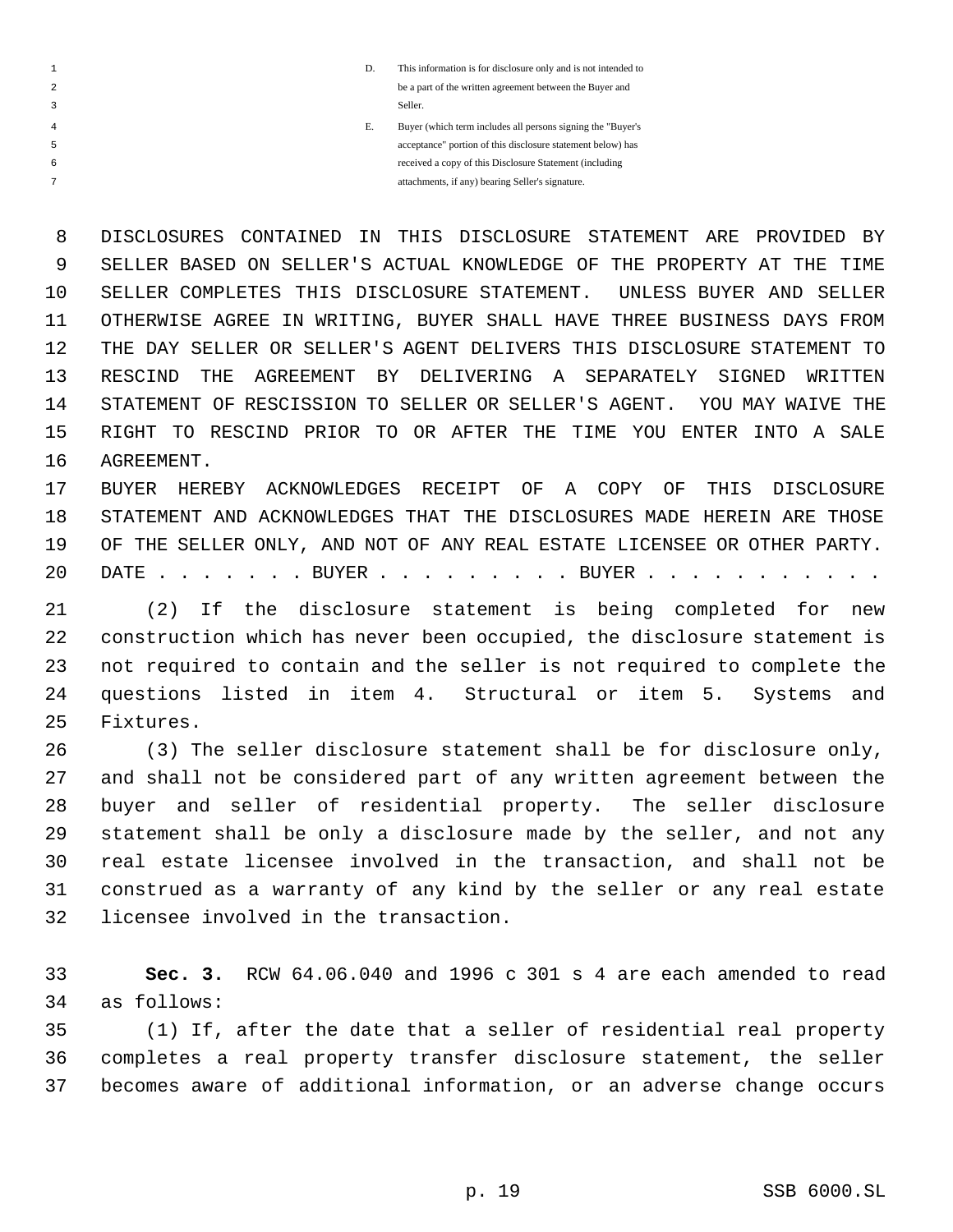| D. | This information is for disclosure only and is not intended to |
|----|----------------------------------------------------------------|
|    | be a part of the written agreement between the Buyer and       |
|    | Seller.                                                        |
| Е. | Buyer (which term includes all persons signing the "Buyer's    |
|    | acceptance" portion of this disclosure statement below) has    |
|    | received a copy of this Disclosure Statement (including        |
|    | attachments, if any) bearing Seller's signature.               |
|    |                                                                |

 DISCLOSURES CONTAINED IN THIS DISCLOSURE STATEMENT ARE PROVIDED BY SELLER BASED ON SELLER'S ACTUAL KNOWLEDGE OF THE PROPERTY AT THE TIME SELLER COMPLETES THIS DISCLOSURE STATEMENT. UNLESS BUYER AND SELLER OTHERWISE AGREE IN WRITING, BUYER SHALL HAVE THREE BUSINESS DAYS FROM THE DAY SELLER OR SELLER'S AGENT DELIVERS THIS DISCLOSURE STATEMENT TO RESCIND THE AGREEMENT BY DELIVERING A SEPARATELY SIGNED WRITTEN STATEMENT OF RESCISSION TO SELLER OR SELLER'S AGENT. YOU MAY WAIVE THE RIGHT TO RESCIND PRIOR TO OR AFTER THE TIME YOU ENTER INTO A SALE AGREEMENT.

 BUYER HEREBY ACKNOWLEDGES RECEIPT OF A COPY OF THIS DISCLOSURE STATEMENT AND ACKNOWLEDGES THAT THE DISCLOSURES MADE HEREIN ARE THOSE OF THE SELLER ONLY, AND NOT OF ANY REAL ESTATE LICENSEE OR OTHER PARTY. 20 DATE . . . . . . BUYER . . . . . . . . BUYER . . . . .

 (2) If the disclosure statement is being completed for new construction which has never been occupied, the disclosure statement is not required to contain and the seller is not required to complete the questions listed in item 4. Structural or item 5. Systems and Fixtures.

 (3) The seller disclosure statement shall be for disclosure only, and shall not be considered part of any written agreement between the buyer and seller of residential property. The seller disclosure statement shall be only a disclosure made by the seller, and not any real estate licensee involved in the transaction, and shall not be construed as a warranty of any kind by the seller or any real estate licensee involved in the transaction.

 **Sec. 3.** RCW 64.06.040 and 1996 c 301 s 4 are each amended to read as follows:

 (1) If, after the date that a seller of residential real property completes a real property transfer disclosure statement, the seller becomes aware of additional information, or an adverse change occurs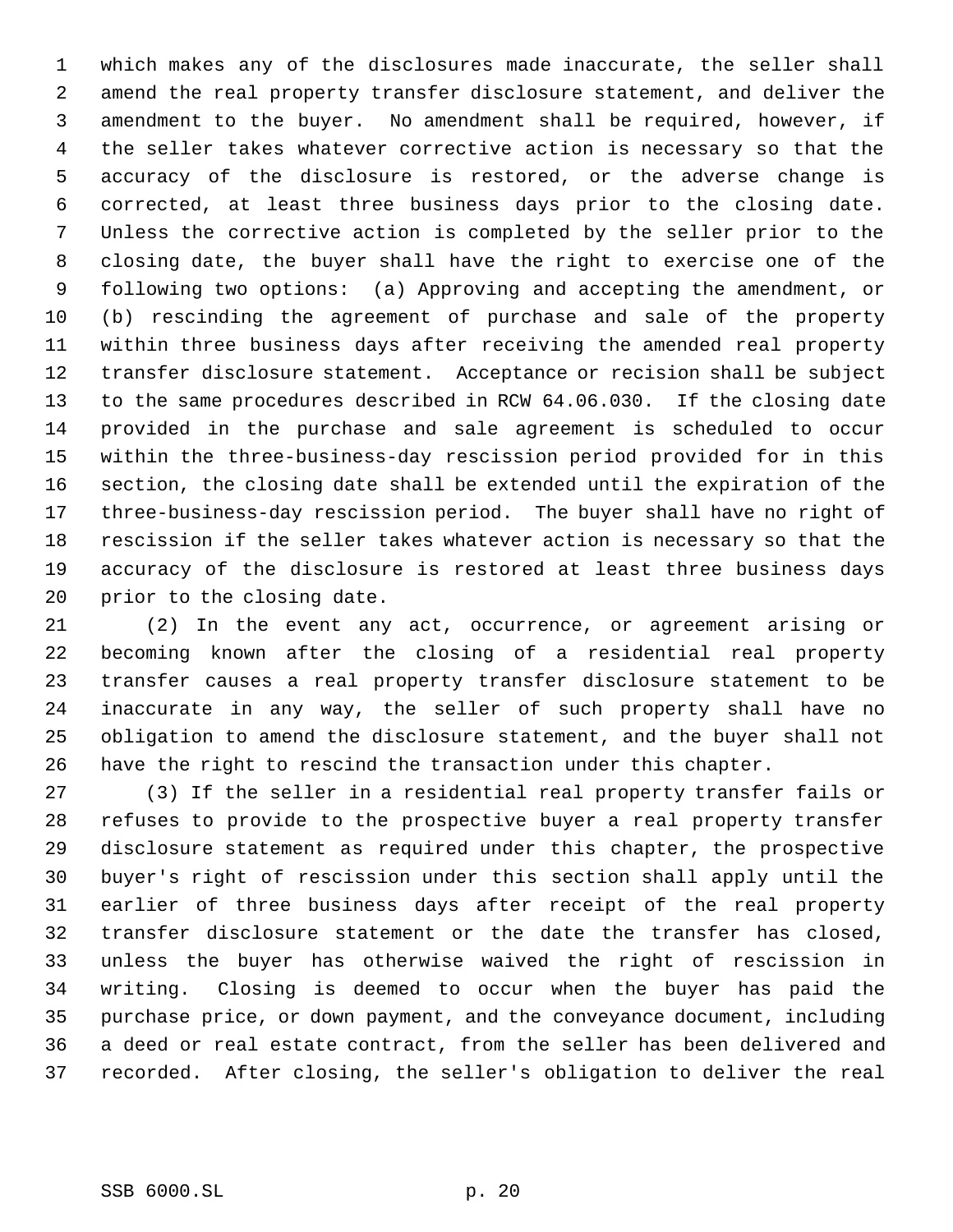which makes any of the disclosures made inaccurate, the seller shall amend the real property transfer disclosure statement, and deliver the amendment to the buyer. No amendment shall be required, however, if the seller takes whatever corrective action is necessary so that the accuracy of the disclosure is restored, or the adverse change is corrected, at least three business days prior to the closing date. Unless the corrective action is completed by the seller prior to the closing date, the buyer shall have the right to exercise one of the following two options: (a) Approving and accepting the amendment, or (b) rescinding the agreement of purchase and sale of the property within three business days after receiving the amended real property transfer disclosure statement. Acceptance or recision shall be subject to the same procedures described in RCW 64.06.030. If the closing date provided in the purchase and sale agreement is scheduled to occur within the three-business-day rescission period provided for in this section, the closing date shall be extended until the expiration of the three-business-day rescission period. The buyer shall have no right of rescission if the seller takes whatever action is necessary so that the accuracy of the disclosure is restored at least three business days prior to the closing date.

 (2) In the event any act, occurrence, or agreement arising or becoming known after the closing of a residential real property transfer causes a real property transfer disclosure statement to be inaccurate in any way, the seller of such property shall have no obligation to amend the disclosure statement, and the buyer shall not have the right to rescind the transaction under this chapter.

 (3) If the seller in a residential real property transfer fails or refuses to provide to the prospective buyer a real property transfer disclosure statement as required under this chapter, the prospective buyer's right of rescission under this section shall apply until the earlier of three business days after receipt of the real property transfer disclosure statement or the date the transfer has closed, unless the buyer has otherwise waived the right of rescission in writing. Closing is deemed to occur when the buyer has paid the purchase price, or down payment, and the conveyance document, including a deed or real estate contract, from the seller has been delivered and recorded. After closing, the seller's obligation to deliver the real